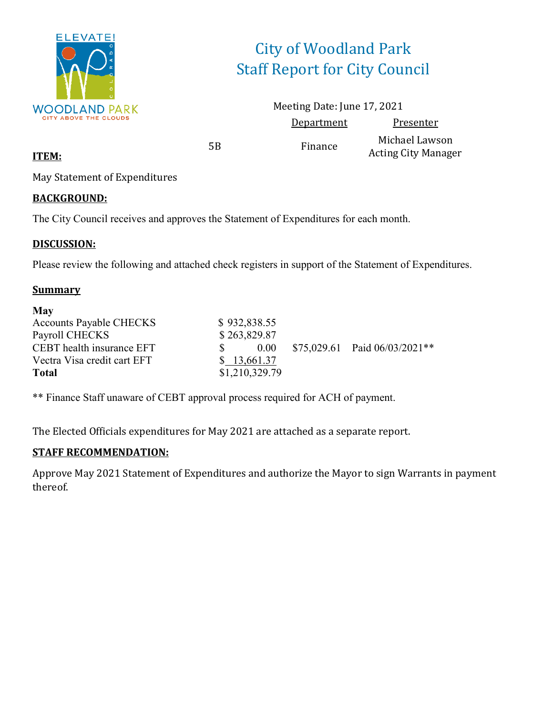

# City of Woodland Park Staff Report for City Council

Meeting Date: June 17, 2021 Department Presenter 5B Finance Michael Lawson Acting City Manager

**ITEM:**

May Statement of Expenditures

#### **BACKGROUND:**

The City Council receives and approves the Statement of Expenditures for each month.

#### **DISCUSSION:**

Please review the following and attached check registers in support of the Statement of Expenditures.

#### **Summary**

| <b>May</b>                     |                |                                  |
|--------------------------------|----------------|----------------------------------|
| <b>Accounts Payable CHECKS</b> | \$932,838.55   |                                  |
| Payroll CHECKS                 | \$263,829.87   |                                  |
| CEBT health insurance EFT      | $0.00 -$       | $$75,029.61$ Paid $06/03/2021**$ |
| Vectra Visa credit cart EFT    | \$ 13,661.37   |                                  |
| <b>Total</b>                   | \$1,210,329.79 |                                  |

\*\* Finance Staff unaware of CEBT approval process required for ACH of payment.

The Elected Officials expenditures for May 2021 are attached as a separate report.

#### **STAFF RECOMMENDATION:**

Approve May 2021 Statement of Expenditures and authorize the Mayor to sign Warrants in payment thereof.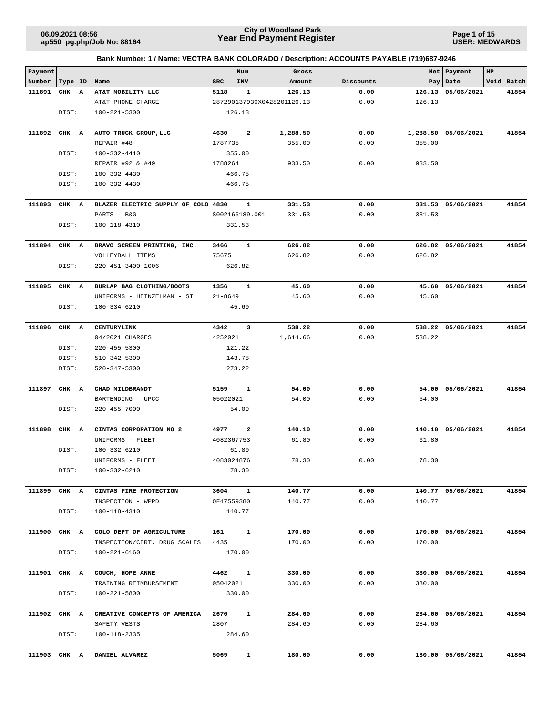**Page 1 of 15 USER: MEDWARDS**

| Payment |       |              |                                     |                | Num          | Gross                      |           |        | Net   Payment       | HP |            |
|---------|-------|--------------|-------------------------------------|----------------|--------------|----------------------------|-----------|--------|---------------------|----|------------|
| Number  | Type  | ID           | Name                                | SRC            | <b>INV</b>   | Amount                     | Discounts |        | Pay   Date          |    | Void Batch |
| 111891  | CHK   | $\mathbf{A}$ | AT&T MOBILITY LLC                   | 5118           | 1            | 126.13                     | 0.00      |        | 126.13 05/06/2021   |    | 41854      |
|         |       |              | AT&T PHONE CHARGE                   |                |              | 287290137930X0428201126.13 | 0.00      | 126.13 |                     |    |            |
|         | DIST: |              | $100 - 221 - 5300$                  |                | 126.13       |                            |           |        |                     |    |            |
|         |       |              |                                     |                |              |                            |           |        |                     |    |            |
| 111892  | CHK A |              | AUTO TRUCK GROUP, LLC               | 4630           | 2            | 1,288.50                   | 0.00      |        | 1,288.50 05/06/2021 |    | 41854      |
|         |       |              | REPAIR #48                          | 1787735        |              | 355.00                     | 0.00      | 355.00 |                     |    |            |
|         | DIST: |              | 100-332-4410                        |                | 355.00       |                            |           |        |                     |    |            |
|         |       |              | REPAIR #92 & #49                    | 1788264        |              | 933.50                     | 0.00      | 933.50 |                     |    |            |
|         | DIST: |              | 100-332-4430                        |                | 466.75       |                            |           |        |                     |    |            |
|         | DIST: |              | 100-332-4430                        |                | 466.75       |                            |           |        |                     |    |            |
| 111893  | CHK A |              | BLAZER ELECTRIC SUPPLY OF COLO 4830 |                | 1            | 331.53                     | 0.00      |        | 331.53 05/06/2021   |    | 41854      |
|         |       |              | PARTS - B&G                         | S002166189.001 |              | 331.53                     | 0.00      | 331.53 |                     |    |            |
|         | DIST: |              | 100-118-4310                        |                | 331.53       |                            |           |        |                     |    |            |
|         |       |              |                                     |                |              |                            |           |        |                     |    |            |
| 111894  | CHK A |              | BRAVO SCREEN PRINTING, INC.         | 3466           | 1            | 626.82                     | 0.00      |        | 626.82 05/06/2021   |    | 41854      |
|         |       |              | VOLLEYBALL ITEMS                    | 75675          |              | 626.82                     | 0.00      | 626.82 |                     |    |            |
|         | DIST: |              | 220-451-3400-1006                   |                | 626.82       |                            |           |        |                     |    |            |
|         |       |              |                                     |                |              |                            |           |        |                     |    |            |
| 111895  | CHK A |              | BURLAP BAG CLOTHING/BOOTS           | 1356           | 1            | 45.60                      | 0.00      |        | 45.60 05/06/2021    |    | 41854      |
|         |       |              | UNIFORMS - HEINZELMAN - ST.         | $21 - 8649$    |              | 45.60                      | 0.00      | 45.60  |                     |    |            |
|         | DIST: |              | 100-334-6210                        |                | 45.60        |                            |           |        |                     |    |            |
|         |       |              |                                     |                |              |                            |           |        |                     |    |            |
| 111896  | CHK A |              | <b>CENTURYLINK</b>                  | 4342           | 3            | 538.22                     | 0.00      |        | 538.22 05/06/2021   |    | 41854      |
|         |       |              | 04/2021 CHARGES                     | 4252021        |              | 1,614.66                   | 0.00      | 538.22 |                     |    |            |
|         | DIST: |              | $220 - 455 - 5300$                  |                | 121.22       |                            |           |        |                     |    |            |
|         | DIST: |              | 510-342-5300                        |                | 143.78       |                            |           |        |                     |    |            |
|         | DIST: |              | 520-347-5300                        |                | 273.22       |                            |           |        |                     |    |            |
| 111897  | CHK A |              | CHAD MILDBRANDT                     | 5159           | 1            | 54.00                      | 0.00      |        | 54.00 05/06/2021    |    | 41854      |
|         |       |              | BARTENDING - UPCC                   | 05022021       |              | 54.00                      | 0.00      | 54.00  |                     |    |            |
|         | DIST: |              | $220 - 455 - 7000$                  |                | 54.00        |                            |           |        |                     |    |            |
|         |       |              |                                     |                |              |                            |           |        |                     |    |            |
| 111898  | CHK A |              | CINTAS CORPORATION NO 2             | 4977           | $\mathbf{2}$ | 140.10                     | 0.00      |        | 140.10 05/06/2021   |    | 41854      |
|         |       |              | UNIFORMS - FLEET                    | 4082367753     |              | 61.80                      | 0.00      | 61.80  |                     |    |            |
|         | DIST: |              | 100-332-6210                        |                | 61.80        |                            |           |        |                     |    |            |
|         |       |              | UNIFORMS - FLEET                    | 4083024876     |              | 78.30                      | 0.00      | 78.30  |                     |    |            |
|         | DIST: |              | $100 - 332 - 6210$                  |                | 78.30        |                            |           |        |                     |    |            |
| 111899  | CHK A |              | CINTAS FIRE PROTECTION              | 3604           |              | 140.77                     | 0.00      |        | 140.77 05/06/2021   |    | 41854      |
|         |       |              | INSPECTION - WPPD                   | OF47559380     | $\mathbf{1}$ | 140.77                     | 0.00      | 140.77 |                     |    |            |
|         | DIST: |              | 100-118-4310                        |                | 140.77       |                            |           |        |                     |    |            |
|         |       |              |                                     |                |              |                            |           |        |                     |    |            |
| 111900  | CHK A |              | COLO DEPT OF AGRICULTURE            | 161            | $\mathbf{1}$ | 170.00                     | 0.00      |        | 170.00 05/06/2021   |    | 41854      |
|         |       |              | INSPECTION/CERT. DRUG SCALES        | 4435           |              | 170.00                     | 0.00      | 170.00 |                     |    |            |
|         | DIST: |              | $100 - 221 - 6160$                  |                | 170.00       |                            |           |        |                     |    |            |
|         |       |              |                                     |                |              |                            |           |        |                     |    |            |
| 111901  | CHK A |              | COUCH, HOPE ANNE                    | 4462           | $\mathbf{1}$ | 330.00                     | 0.00      |        | 330.00 05/06/2021   |    | 41854      |
|         |       |              | TRAINING REIMBURSEMENT              | 05042021       |              | 330.00                     | 0.00      | 330.00 |                     |    |            |
|         | DIST: |              | 100-221-5800                        |                | 330.00       |                            |           |        |                     |    |            |
|         |       |              |                                     |                |              |                            |           |        |                     |    |            |
| 111902  | CHK A |              | CREATIVE CONCEPTS OF AMERICA        | 2676           | $\mathbf{1}$ | 284.60                     | 0.00      |        | 284.60 05/06/2021   |    | 41854      |
|         | DIST: |              | SAFETY VESTS<br>100-118-2335        | 2807           | 284.60       | 284.60                     | 0.00      | 284.60 |                     |    |            |
|         |       |              |                                     |                |              |                            |           |        |                     |    |            |
| 111903  | CHK A |              | DANIEL ALVAREZ                      | 5069           | 1            | 180.00                     | 0.00      |        | 180.00 05/06/2021   |    | 41854      |
|         |       |              |                                     |                |              |                            |           |        |                     |    |            |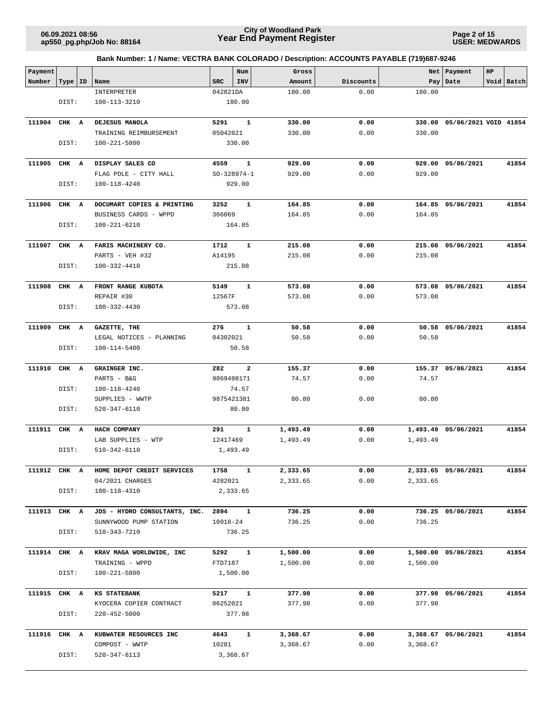**Page 2 of 15 USER: MEDWARDS**

| Payment      |           |                                             |                 | Num                     | Gross                |              |          | Net   Payment         | HP |            |
|--------------|-----------|---------------------------------------------|-----------------|-------------------------|----------------------|--------------|----------|-----------------------|----|------------|
| Number       | Type   ID | Name                                        | <b>SRC</b>      | INV                     | Amount               | Discounts    |          | Pay Date              |    | Void Batch |
|              |           | INTERPRETER                                 | 042821DA        |                         | 180.00               | 0.00         | 180.00   |                       |    |            |
|              | DIST:     | 100-113-3210                                |                 | 180.00                  |                      |              |          |                       |    |            |
|              |           |                                             |                 |                         |                      |              |          |                       |    |            |
| 111904       | CHK A     | DEJESUS MANOLA                              | 5291            | $\mathbf{1}$            | 330.00               | 0.00         | 330.00   | 05/06/2021 VOID 41854 |    |            |
|              |           | TRAINING REIMBURSEMENT                      | 05042021        |                         | 330.00               | 0.00         | 330.00   |                       |    |            |
|              | DIST:     | 100-221-5800                                |                 | 330.00                  |                      |              |          |                       |    |            |
|              |           |                                             |                 |                         |                      |              |          |                       |    |            |
| 111905       | CHK A     | DISPLAY SALES CO                            | 4559            | 1                       | 929.00               | 0.00         |          | 929.00 05/06/2021     |    | 41854      |
|              |           | FLAG POLE - CITY HALL                       | $SO-328974-1$   |                         | 929.00               | 0.00         | 929.00   |                       |    |            |
|              | DIST:     | 100-118-4240                                |                 | 929.00                  |                      |              |          |                       |    |            |
|              |           |                                             |                 |                         |                      |              |          |                       |    |            |
| 111906       | CHK A     | DOCUMART COPIES & PRINTING                  | 3252            | 1                       | 164.85               | 0.00         |          | 164.85 05/06/2021     |    | 41854      |
|              |           | BUSINESS CARDS - WPPD                       | 366069          |                         | 164.85               | 0.00         | 164.85   |                       |    |            |
|              | DIST:     | 100-221-6210                                |                 | 164.85                  |                      |              |          |                       |    |            |
| 111907       | CHK A     | FARIS MACHINERY CO.                         | 1712            | 1                       | 215.08               | 0.00         |          | 215.08 05/06/2021     |    | 41854      |
|              |           | PARTS - VEH #32                             | A14195          |                         | 215.08               | 0.00         | 215.08   |                       |    |            |
|              | DIST:     | 100-332-4410                                |                 | 215.08                  |                      |              |          |                       |    |            |
|              |           |                                             |                 |                         |                      |              |          |                       |    |            |
| 111908       | CHK A     | FRONT RANGE KUBOTA                          | 5149            | $\mathbf{1}$            | 573.08               | 0.00         |          | 573.08 05/06/2021     |    | 41854      |
|              |           | REPAIR #30                                  | 12567F          |                         | 573.08               | 0.00         | 573.08   |                       |    |            |
|              | DIST:     | 100-332-4430                                |                 | 573.08                  |                      |              |          |                       |    |            |
|              |           |                                             |                 |                         |                      |              |          |                       |    |            |
| 111909       | CHK A     | GAZETTE, THE                                | 276             | 1                       | 50.58                | 0.00         |          | 50.58 05/06/2021      |    | 41854      |
|              |           | LEGAL NOTICES - PLANNING                    | 04302021        |                         | 50.58                | 0.00         | 50.58    |                       |    |            |
|              | DIST:     | 100-114-5400                                |                 | 50.58                   |                      |              |          |                       |    |            |
|              |           |                                             |                 |                         |                      |              |          |                       |    |            |
| 111910       | CHK A     | GRAINGER INC.                               | 282             | $\overline{\mathbf{2}}$ | 155.37               | 0.00         |          | 155.37 05/06/2021     |    | 41854      |
|              |           | PARTS - B&G                                 | 9869498171      |                         | 74.57                | 0.00         | 74.57    |                       |    |            |
|              | DIST:     | 100-118-4240                                |                 | 74.57                   |                      |              |          |                       |    |            |
|              |           | SUPPLIES - WWTP                             | 9875421381      |                         | 80.80                | 0.00         | 80.80    |                       |    |            |
|              | DIST:     | 520-347-6110                                |                 | 80.80                   |                      |              |          |                       |    |            |
| 111911 CHK A |           | HACH COMPANY                                | 291             | $\mathbf{1}$            | 1,493.49             | 0.00         |          | 1,493.49 05/06/2021   |    | 41854      |
|              |           | LAB SUPPLIES - WTP                          | 12417469        |                         | 1,493.49             | 0.00         | 1,493.49 |                       |    |            |
|              | DIST:     | 510-342-6110                                |                 | 1,493.49                |                      |              |          |                       |    |            |
|              |           |                                             |                 |                         |                      |              |          |                       |    |            |
| 111912 CHK A |           | HOME DEPOT CREDIT SERVICES                  | 1758            | $\mathbf{1}$            | 2,333.65             | 0.00         |          | 2,333.65 05/06/2021   |    | 41854      |
|              |           | 04/2021 CHARGES                             | 4282021         |                         | 2,333.65             | 0.00         | 2,333.65 |                       |    |            |
|              | DIST:     | $100 - 118 - 4310$                          |                 | 2,333.65                |                      |              |          |                       |    |            |
|              |           |                                             |                 |                         |                      |              |          |                       |    |            |
| 111913 CHK A |           | JDS - HYDRO CONSULTANTS, INC. 2894 1        |                 |                         | 736.25               | 0.00         |          | 736.25 05/06/2021     |    | 41854      |
|              |           | SUNNYWOOD PUMP STATION                      | 10916-24        |                         | 736.25               | 0.00         | 736.25   |                       |    |            |
|              | DIST:     | 510-343-7210                                |                 | 736.25                  |                      |              |          |                       |    |            |
|              |           |                                             |                 |                         |                      |              |          |                       |    |            |
| 111914 CHK A |           | KRAV MAGA WORLDWIDE, INC<br>TRAINING - WPPD | 5292<br>FTD7187 | $\mathbf{1}$            | 1,500.00<br>1,500.00 | 0.00<br>0.00 | 1,500.00 | 1,500.00 05/06/2021   |    | 41854      |
|              | DIST:     | 100-221-5800                                | 1,500.00        |                         |                      |              |          |                       |    |            |
|              |           |                                             |                 |                         |                      |              |          |                       |    |            |
| 111915 CHK A |           | <b>KS STATEBANK</b>                         | 5217            | $\overline{\mathbf{1}}$ | 377.98               | 0.00         |          | 377.98 05/06/2021     |    | 41854      |
|              |           | KYOCERA COPIER CONTRACT                     | 06252021        |                         | 377.98               | 0.00         | 377.98   |                       |    |            |
|              | DIST:     | 220-452-5000                                |                 | 377.98                  |                      |              |          |                       |    |            |
|              |           |                                             |                 |                         |                      |              |          |                       |    |            |
| 111916 CHK A |           | KUBWATER RESOURCES INC                      | 4643            | $\mathbf{1}$            | 3,368.67             | 0.00         |          | 3,368.67 05/06/2021   |    | 41854      |
|              |           | COMPOST - WWTP                              | 10281           |                         | 3,368.67             | 0.00         | 3,368.67 |                       |    |            |
|              | DIST:     | 520-347-6113                                |                 | 3,368.67                |                      |              |          |                       |    |            |
|              |           |                                             |                 |                         |                      |              |          |                       |    |            |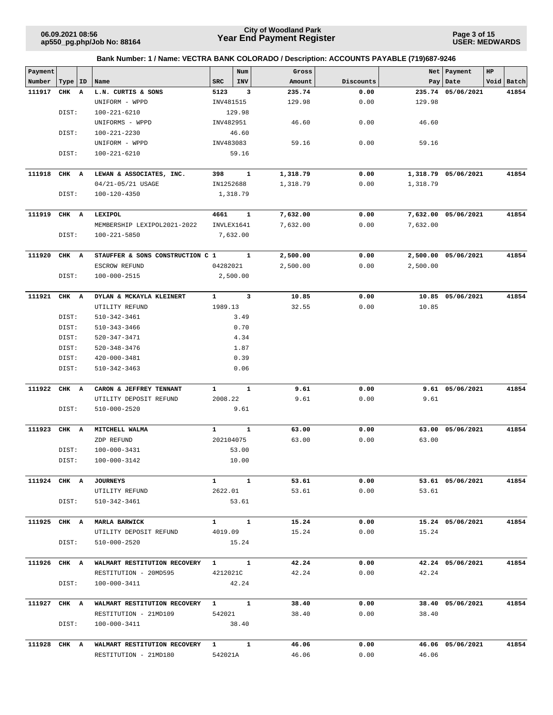**Page 3 of 15 USER: MEDWARDS**

| Payment      |       |    | Bank Number: 1 / Name: VECTRA BANK COLORADO / Description: ACCOUNTS PAYABLE (719)687-9246 |                  | Num               | Gross    |           |          | Net   Payment       | HP |            |
|--------------|-------|----|-------------------------------------------------------------------------------------------|------------------|-------------------|----------|-----------|----------|---------------------|----|------------|
| Number       | Type  | ID | Name                                                                                      | ${\tt SRC}$      | INV               | Amount   | Discounts |          | Pay Date            |    | Void Batch |
| 111917       | CHK   | A  | L.N. CURTIS & SONS                                                                        | 5123             | 3                 | 235.74   | 0.00      |          | 235.74 05/06/2021   |    | 41854      |
|              |       |    | UNIFORM - WPPD                                                                            | INV481515        |                   | 129.98   | 0.00      | 129.98   |                     |    |            |
|              | DIST: |    | $100 - 221 - 6210$                                                                        |                  | 129.98            |          |           |          |                     |    |            |
|              |       |    | UNIFORMS - WPPD                                                                           | INV482951        |                   | 46.60    | 0.00      | 46.60    |                     |    |            |
|              | DIST: |    | 100-221-2230                                                                              |                  | 46.60             |          |           |          |                     |    |            |
|              |       |    | UNIFORM - WPPD                                                                            | INV483083        |                   | 59.16    | 0.00      | 59.16    |                     |    |            |
|              | DIST: |    | $100 - 221 - 6210$                                                                        |                  | 59.16             |          |           |          |                     |    |            |
|              |       |    |                                                                                           |                  |                   |          |           |          |                     |    |            |
| 111918       | CHK A |    | LEWAN & ASSOCIATES, INC.                                                                  | 398              | 1                 | 1,318.79 | 0.00      |          | 1,318.79 05/06/2021 |    | 41854      |
|              |       |    | 04/21-05/21 USAGE                                                                         | IN1252688        |                   | 1,318.79 | 0.00      | 1,318.79 |                     |    |            |
|              | DIST: |    | 100-120-4350                                                                              |                  | 1,318.79          |          |           |          |                     |    |            |
| 111919       | CHK A |    | LEXIPOL                                                                                   | 4661             | 1                 | 7,632.00 | 0.00      |          | 7,632.00 05/06/2021 |    | 41854      |
|              |       |    | MEMBERSHIP LEXIPOL2021-2022                                                               |                  | INVLEX1641        | 7,632.00 | 0.00      | 7,632.00 |                     |    |            |
|              | DIST: |    | $100 - 221 - 5850$                                                                        |                  | 7,632.00          |          |           |          |                     |    |            |
|              |       |    |                                                                                           |                  |                   |          |           |          |                     |    |            |
| 111920       | CHK A |    | STAUFFER & SONS CONSTRUCTION C 1                                                          |                  | $\mathbf{1}$      | 2,500.00 | 0.00      |          | 2,500.00 05/06/2021 |    | 41854      |
|              |       |    | ESCROW REFUND                                                                             | 04282021         |                   | 2,500.00 | 0.00      | 2,500.00 |                     |    |            |
|              | DIST: |    | 100-000-2515                                                                              |                  | 2,500.00          |          |           |          |                     |    |            |
|              |       |    |                                                                                           |                  |                   |          |           |          |                     |    |            |
| 111921       | CHK A |    | DYLAN & MCKAYLA KLEINERT                                                                  | 1                | 3                 | 10.85    | 0.00      |          | 10.85 05/06/2021    |    | 41854      |
|              |       |    | UTILITY REFUND                                                                            | 1989.13          |                   | 32.55    | 0.00      | 10.85    |                     |    |            |
|              | DIST: |    | 510-342-3461                                                                              |                  | 3.49              |          |           |          |                     |    |            |
|              | DIST: |    | $510 - 343 - 3466$                                                                        |                  | 0.70              |          |           |          |                     |    |            |
|              | DIST: |    | 520-347-3471                                                                              |                  | 4.34              |          |           |          |                     |    |            |
|              | DIST: |    | $520 - 348 - 3476$                                                                        |                  | 1.87              |          |           |          |                     |    |            |
|              | DIST: |    | 420-000-3481                                                                              |                  | 0.39              |          |           |          |                     |    |            |
|              | DIST: |    | $510 - 342 - 3463$                                                                        |                  | 0.06              |          |           |          |                     |    |            |
| 111922       | CHK A |    | CARON & JEFFREY TENNANT                                                                   | $\mathbf{1}$     | $\mathbf{1}$      | 9.61     | 0.00      |          | 9.61 05/06/2021     |    | 41854      |
|              |       |    | UTILITY DEPOSIT REFUND                                                                    | 2008.22          |                   | 9.61     | 0.00      | 9.61     |                     |    |            |
|              | DIST: |    | 510-000-2520                                                                              |                  | 9.61              |          |           |          |                     |    |            |
| 111923       | CHK A |    | MITCHELL WALMA                                                                            | 1                | 1                 | 63.00    | 0.00      |          | 63.00 05/06/2021    |    | 41854      |
|              |       |    | ZDP REFUND                                                                                | 202104075        |                   | 63.00    | 0.00      | 63.00    |                     |    |            |
|              | DIST: |    | 100-000-3431                                                                              |                  | 53.00             |          |           |          |                     |    |            |
|              | DIST: |    | 100-000-3142                                                                              |                  | 10.00             |          |           |          |                     |    |            |
|              |       |    |                                                                                           |                  |                   |          |           |          |                     |    |            |
| 111924 CHK A |       |    | <b>JOURNEYS</b>                                                                           | $\mathbf{1}$     | $\mathbf{1}$      | 53.61    | 0.00      |          | 53.61 05/06/2021    |    | 41854      |
|              |       |    | UTILITY REFUND                                                                            |                  | 2622.01           | 53.61    | 0.00      | 53.61    |                     |    |            |
|              | DIST: |    | 510-342-3461                                                                              |                  | 53.61             |          |           |          |                     |    |            |
| 111925 CHK A |       |    | <b>MARLA BARWICK</b>                                                                      | $\mathbf{1}$     | $\mathbf{1}$      | 15.24    | 0.00      |          | 15.24 05/06/2021    |    | 41854      |
|              |       |    | UTILITY DEPOSIT REFUND                                                                    | 4019.09          |                   | 15.24    | 0.00      | 15.24    |                     |    |            |
|              | DIST: |    | 510-000-2520                                                                              |                  | 15.24             |          |           |          |                     |    |            |
|              |       |    |                                                                                           |                  |                   |          |           |          |                     |    |            |
| 111926 CHK A |       |    | WALMART RESTITUTION RECOVERY                                                              | $1 \quad \cdots$ | $\mathbf{1}$      | 42.24    | 0.00      |          | 42.24 05/06/2021    |    | 41854      |
|              | DIST: |    | RESTITUTION - 20MD595<br>100-000-3411                                                     |                  | 4212021C<br>42.24 | 42.24    | 0.00      | 42.24    |                     |    |            |
|              |       |    |                                                                                           |                  |                   |          |           |          |                     |    |            |
| 111927 CHK A |       |    | WALMART RESTITUTION RECOVERY                                                              |                  | $1 \quad 1$       | 38.40    | 0.00      |          | 38.40 05/06/2021    |    | 41854      |
|              |       |    | RESTITUTION - 21MD109                                                                     | 542021           |                   | 38.40    | 0.00      | 38.40    |                     |    |            |
|              | DIST: |    | 100-000-3411                                                                              |                  | 38.40             |          |           |          |                     |    |            |
| 111928 CHK A |       |    | WALMART RESTITUTION RECOVERY                                                              | $1 \quad \cdots$ | $\mathbf{1}$      | 46.06    | 0.00      |          | 46.06 05/06/2021    |    | 41854      |
|              |       |    | RESTITUTION - 21MD180                                                                     | 542021A          |                   | 46.06    | 0.00      | 46.06    |                     |    |            |
|              |       |    |                                                                                           |                  |                   |          |           |          |                     |    |            |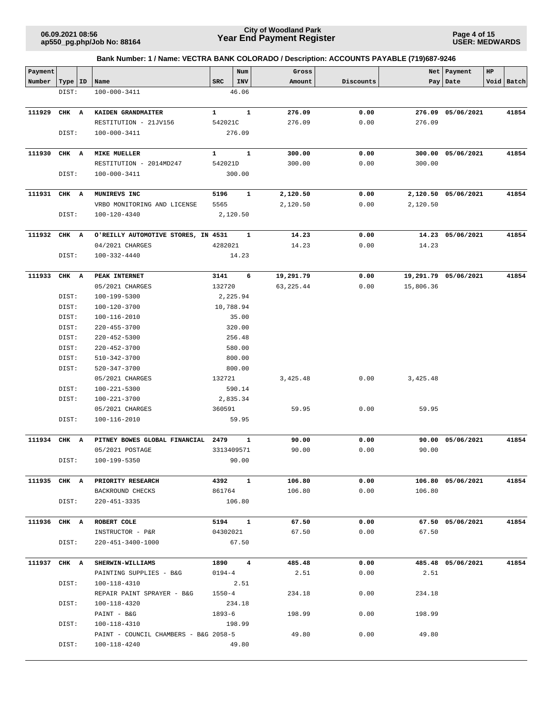**Page 4 of 15 USER: MEDWARDS**

| Payment      |           |                                       |              | Num               | Gross      |           |           | Net   Payment        | HP |            |
|--------------|-----------|---------------------------------------|--------------|-------------------|------------|-----------|-----------|----------------------|----|------------|
| Number       | Type   ID | Name                                  | <b>SRC</b>   | INV               | Amount     | Discounts |           | Pay Date             |    | Void Batch |
|              | DIST:     | 100-000-3411                          |              | 46.06             |            |           |           |                      |    |            |
|              |           |                                       |              |                   |            |           |           |                      |    |            |
| 111929       | CHK A     | KAIDEN GRANDMAITER                    | $\mathbf{1}$ | 1                 | 276.09     | 0.00      |           | 276.09 05/06/2021    |    | 41854      |
|              |           | RESTITUTION - 21JV156                 | 542021C      |                   | 276.09     | 0.00      | 276.09    |                      |    |            |
|              | DIST:     | 100-000-3411                          |              | 276.09            |            |           |           |                      |    |            |
|              |           |                                       |              |                   |            |           |           |                      |    |            |
| 111930       | CHK A     | <b>MIKE MUELLER</b>                   | 1            | $\mathbf{1}$      | 300.00     | 0.00      | 300.00    | 05/06/2021           |    | 41854      |
|              |           | RESTITUTION - 2014MD247               | 542021D      |                   | 300.00     | 0.00      | 300.00    |                      |    |            |
|              | DIST:     | 100-000-3411                          |              | 300.00            |            |           |           |                      |    |            |
|              |           |                                       |              |                   |            |           |           |                      |    |            |
| 111931       | CHK A     | MUNIREVS INC                          | 5196         | 1                 | 2,120.50   | 0.00      |           | 2,120.50 05/06/2021  |    | 41854      |
|              |           | VRBO MONITORING AND LICENSE           | 5565         |                   | 2,120.50   | 0.00      | 2,120.50  |                      |    |            |
|              | DIST:     | 100-120-4340                          |              | 2,120.50          |            |           |           |                      |    |            |
|              |           |                                       |              |                   |            |           |           |                      |    |            |
| 111932       | CHK A     | O'REILLY AUTOMOTIVE STORES, IN 4531   | 4282021      | 1                 | 14.23      | 0.00      |           | 14.23 05/06/2021     |    | 41854      |
|              | DIST:     | 04/2021 CHARGES<br>100-332-4440       |              | 14.23             | 14.23      | 0.00      | 14.23     |                      |    |            |
|              |           |                                       |              |                   |            |           |           |                      |    |            |
| 111933       | CHK A     | PEAK INTERNET                         | 3141         | 6                 | 19,291.79  | 0.00      |           | 19,291.79 05/06/2021 |    | 41854      |
|              |           | 05/2021 CHARGES                       | 132720       |                   | 63, 225.44 | 0.00      | 15,806.36 |                      |    |            |
|              | DIST:     | 100-199-5300                          |              | 2,225.94          |            |           |           |                      |    |            |
|              | DIST:     | 100-120-3700                          |              | 10,788.94         |            |           |           |                      |    |            |
|              | DIST:     | 100-116-2010                          |              | 35.00             |            |           |           |                      |    |            |
|              | DIST:     | $220 - 455 - 3700$                    |              | 320.00            |            |           |           |                      |    |            |
|              | DIST:     | $220 - 452 - 5300$                    |              | 256.48            |            |           |           |                      |    |            |
|              | DIST:     | 220-452-3700                          |              | 580.00            |            |           |           |                      |    |            |
|              | DIST:     | 510-342-3700                          |              | 800.00            |            |           |           |                      |    |            |
|              | DIST:     | 520-347-3700                          |              | 800.00            |            |           |           |                      |    |            |
|              |           | 05/2021 CHARGES                       | 132721       |                   | 3,425.48   | 0.00      | 3,425.48  |                      |    |            |
|              | DIST:     | 100-221-5300                          |              | 590.14            |            |           |           |                      |    |            |
|              | DIST:     | 100-221-3700                          |              | 2,835.34          |            |           |           |                      |    |            |
|              |           | 05/2021 CHARGES                       | 360591       |                   | 59.95      | 0.00      | 59.95     |                      |    |            |
|              | DIST:     | 100-116-2010                          |              | 59.95             |            |           |           |                      |    |            |
|              |           |                                       |              |                   |            |           |           |                      |    |            |
| 111934       | CHK A     | PITNEY BOWES GLOBAL FINANCIAL         | 2479         | 1                 | 90.00      | 0.00      |           | 90.00 05/06/2021     |    | 41854      |
|              |           | 05/2021 POSTAGE                       |              | 3313409571        | 90.00      | 0.00      | 90.00     |                      |    |            |
|              | DIST:     | 100-199-5350                          |              | 90.00             |            |           |           |                      |    |            |
|              |           |                                       |              |                   |            |           |           |                      |    |            |
|              |           | 111935 CHK A PRIORITY RESEARCH        |              | 4392 1            | 106.80     | 0.00      |           | 106.80 05/06/2021    |    | 41854      |
|              |           | BACKROUND CHECKS                      | 861764       |                   | 106.80     | 0.00      | 106.80    |                      |    |            |
|              | DIST:     | 220-451-3335                          |              | 106.80            |            |           |           |                      |    |            |
|              |           |                                       |              | $5194$ 1          |            |           |           |                      |    |            |
| 111936 CHK A |           | ROBERT COLE                           |              |                   | 67.50      | 0.00      |           | 67.50 05/06/2021     |    | 41854      |
|              | DIST:     | INSTRUCTOR - P&R<br>220-451-3400-1000 |              | 04302021<br>67.50 | 67.50      | 0.00      | 67.50     |                      |    |            |
|              |           |                                       |              |                   |            |           |           |                      |    |            |
| 111937 CHK A |           | <b>SHERWIN-WILLIAMS</b>               |              | 1890 4            | 485.48     | 0.00      |           | 485.48 05/06/2021    |    | 41854      |
|              |           | PAINTING SUPPLIES - B&G               | $0194 - 4$   |                   | 2.51       | 0.00      | 2.51      |                      |    |            |
|              | DIST:     | 100-118-4310                          |              | 2.51              |            |           |           |                      |    |            |
|              |           | REPAIR PAINT SPRAYER - B&G            | $1550 - 4$   |                   | 234.18     | 0.00      | 234.18    |                      |    |            |
|              | DIST:     | 100-118-4320                          |              | 234.18            |            |           |           |                      |    |            |
|              |           | PAINT - B&G                           |              | 1893-6            | 198.99     | 0.00      | 198.99    |                      |    |            |
|              | DIST:     | 100-118-4310                          | 198.99       |                   |            |           |           |                      |    |            |
|              |           | PAINT - COUNCIL CHAMBERS - B&G 2058-5 |              |                   | 49.80      | 0.00      | 49.80     |                      |    |            |
|              | DIST:     | 100-118-4240                          |              | 49.80             |            |           |           |                      |    |            |
|              |           |                                       |              |                   |            |           |           |                      |    |            |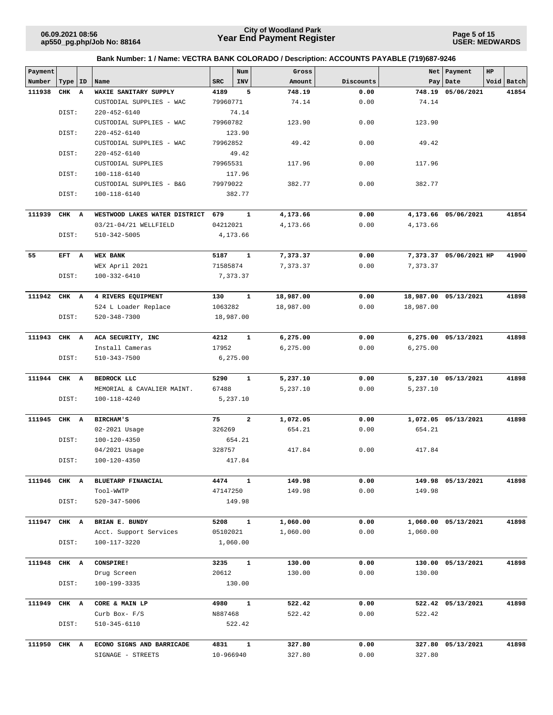**Page 5 of 15 USER: MEDWARDS**

| Payment      |           |              |                               |            | Num            | Gross     |           |           | Net Payment            | HP |            |
|--------------|-----------|--------------|-------------------------------|------------|----------------|-----------|-----------|-----------|------------------------|----|------------|
| Number       | Type   ID |              | Name                          | <b>SRC</b> | INV            | Amount    | Discounts |           | Pay Date               |    | Void Batch |
| 111938       | CHK       | $\mathbf{A}$ | WAXIE SANITARY SUPPLY         | 4189       | 5              | 748.19    | 0.00      |           | 748.19 05/06/2021      |    | 41854      |
|              |           |              | CUSTODIAL SUPPLIES - WAC      | 79960771   |                | 74.14     | 0.00      | 74.14     |                        |    |            |
|              | DIST:     |              | $220 - 452 - 6140$            |            | 74.14          |           |           |           |                        |    |            |
|              |           |              | CUSTODIAL SUPPLIES - WAC      | 79960782   |                | 123.90    | 0.00      | 123.90    |                        |    |            |
|              | DIST:     |              | $220 - 452 - 6140$            |            | 123.90         |           |           |           |                        |    |            |
|              |           |              | CUSTODIAL SUPPLIES - WAC      | 79962852   |                | 49.42     | 0.00      | 49.42     |                        |    |            |
|              | DIST:     |              | $220 - 452 - 6140$            |            | 49.42          |           |           |           |                        |    |            |
|              |           |              | CUSTODIAL SUPPLIES            | 79965531   |                | 117.96    | 0.00      | 117.96    |                        |    |            |
|              | DIST:     |              | 100-118-6140                  |            | 117.96         |           |           |           |                        |    |            |
|              |           |              | CUSTODIAL SUPPLIES - B&G      | 79979022   |                | 382.77    | 0.00      | 382.77    |                        |    |            |
|              | DIST:     |              | 100-118-6140                  |            | 382.77         |           |           |           |                        |    |            |
|              |           |              |                               |            |                |           |           |           |                        |    |            |
| 111939       | CHK A     |              | WESTWOOD LAKES WATER DISTRICT | 679        | $\mathbf{1}$   | 4,173.66  | 0.00      |           | 4,173.66 05/06/2021    |    | 41854      |
|              |           |              | 03/21-04/21 WELLFIELD         | 04212021   |                | 4,173.66  | 0.00      | 4,173.66  |                        |    |            |
|              | DIST:     |              | 510-342-5005                  |            | 4,173.66       |           |           |           |                        |    |            |
|              |           |              |                               |            |                |           |           |           |                        |    |            |
| 55           | EFT A     |              | <b>WEX BANK</b>               | 5187       | $\mathbf{1}$   | 7,373.37  | 0.00      |           | 7,373.37 05/06/2021 HP |    | 41900      |
|              |           |              | WEX April 2021                | 71585874   |                | 7,373.37  | 0.00      | 7,373.37  |                        |    |            |
|              | DIST:     |              | $100 - 332 - 6410$            |            | 7,373.37       |           |           |           |                        |    |            |
|              |           |              |                               |            |                |           |           |           |                        |    |            |
| 111942 CHK A |           |              | 4 RIVERS EQUIPMENT            | 130        | $\mathbf{1}$   | 18,987.00 | 0.00      |           | 18,987.00 05/13/2021   |    | 41898      |
|              |           |              | 524 L Loader Replace          | 1063282    |                | 18,987.00 | 0.00      | 18,987.00 |                        |    |            |
|              | DIST:     |              | $520 - 348 - 7300$            | 18,987.00  |                |           |           |           |                        |    |            |
|              |           |              |                               |            |                |           |           |           |                        |    |            |
| 111943       | CHK A     |              | ACA SECURITY, INC             | 4212       | 1              | 6,275.00  | 0.00      |           | 6,275.00 05/13/2021    |    | 41898      |
|              |           |              | Install Cameras               | 17952      |                | 6,275.00  | 0.00      | 6,275.00  |                        |    |            |
|              | DIST:     |              | 510-343-7500                  |            | 6, 275.00      |           |           |           |                        |    |            |
|              |           |              |                               |            |                |           |           |           |                        |    |            |
| 111944       | CHK A     |              | BEDROCK LLC                   | 5290       | $\mathbf{1}$   | 5,237.10  | 0.00      |           | 5,237.10 05/13/2021    |    | 41898      |
|              |           |              | MEMORIAL & CAVALIER MAINT.    | 67488      |                | 5,237.10  | 0.00      | 5,237.10  |                        |    |            |
|              | DIST:     |              | 100-118-4240                  |            | 5,237.10       |           |           |           |                        |    |            |
| 111945       | CHK A     |              | <b>BIRCHAM'S</b>              | 75         | $\overline{a}$ | 1,072.05  | 0.00      |           | 1,072.05 05/13/2021    |    | 41898      |
|              |           |              | 02-2021 Usage                 | 326269     |                | 654.21    | 0.00      | 654.21    |                        |    |            |
|              | DIST:     |              | 100-120-4350                  |            | 654.21         |           |           |           |                        |    |            |
|              |           |              | 04/2021 Usage                 | 328757     |                | 417.84    | 0.00      | 417.84    |                        |    |            |
|              | DIST:     |              | 100-120-4350                  |            | 417.84         |           |           |           |                        |    |            |
|              |           |              |                               |            |                |           |           |           |                        |    |            |
| 111946       | CHK A     |              | BLUETARP FINANCIAL            | 4474       | $\mathbf{1}$   | 149.98    | 0.00      |           | 149.98 05/13/2021      |    | 41898      |
|              |           |              | Tool-WWTP                     | 47147250   |                | 149.98    | 0.00      | 149.98    |                        |    |            |
|              | DIST:     |              | 520-347-5006                  |            | 149.98         |           |           |           |                        |    |            |
|              |           |              |                               |            |                |           |           |           |                        |    |            |
| 111947 CHK A |           |              | BRIAN E. BUNDY                | 5208       | $\mathbf{1}$   | 1,060.00  | 0.00      |           | 1,060.00 05/13/2021    |    | 41898      |
|              |           |              | Acct. Support Services        | 05102021   |                | 1,060.00  | 0.00      | 1,060.00  |                        |    |            |
|              | DIST:     |              | 100-117-3220                  |            | 1,060.00       |           |           |           |                        |    |            |
|              |           |              |                               |            |                |           |           |           |                        |    |            |
| 111948       | CHK A     |              | CONSPIRE!                     | 3235       | $\mathbf{1}$   | 130.00    | 0.00      |           | 130.00 05/13/2021      |    | 41898      |
|              |           |              | Drug Screen                   | 20612      |                | 130.00    | 0.00      | 130.00    |                        |    |            |
|              | DIST:     |              | 100-199-3335                  |            | 130.00         |           |           |           |                        |    |            |
|              |           |              |                               |            |                |           |           |           |                        |    |            |
| 111949       | CHK A     |              | CORE & MAIN LP                | 4980       | $\mathbf{1}$   | 522.42    | 0.00      |           | 522.42 05/13/2021      |    | 41898      |
|              |           |              | Curb Box- F/S                 | N887468    |                | 522.42    | 0.00      | 522.42    |                        |    |            |
|              | DIST:     |              | 510-345-6110                  |            | 522.42         |           |           |           |                        |    |            |
|              |           |              |                               |            |                |           |           |           |                        |    |            |
| 111950       | CHK A     |              | ECONO SIGNS AND BARRICADE     | 4831       | $\mathbf{1}$   | 327.80    | 0.00      |           | 327.80 05/13/2021      |    | 41898      |
|              |           |              | SIGNAGE - STREETS             | 10-966940  |                | 327.80    | 0.00      | 327.80    |                        |    |            |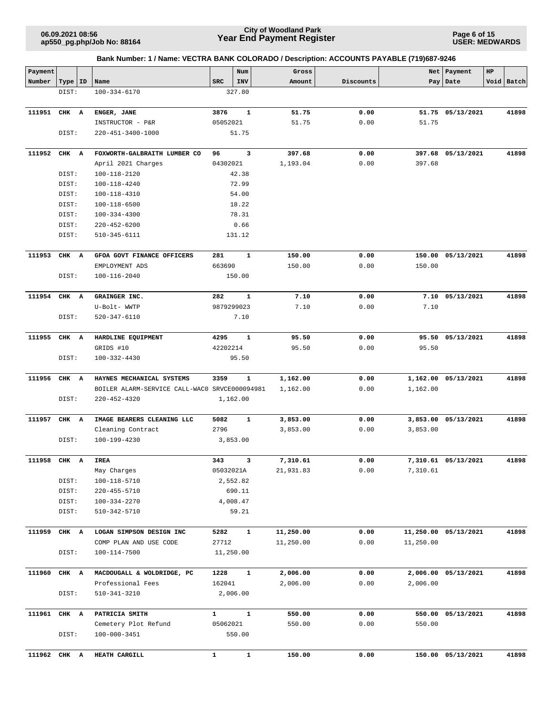**Page 6 of 15 USER: MEDWARDS**

| Payment      |           |   |                                                 |                | Num          | Gross                |              |           | Net Payment          | HP |            |
|--------------|-----------|---|-------------------------------------------------|----------------|--------------|----------------------|--------------|-----------|----------------------|----|------------|
| Number       | Type   ID |   | Name                                            | <b>SRC</b>     | INV          | Amount               | Discounts    |           | Pay Date             |    | Void Batch |
|              | DIST:     |   | $100 - 334 - 6170$                              |                | 327.80       |                      |              |           |                      |    |            |
|              |           |   |                                                 |                |              |                      |              |           |                      |    |            |
| 111951       | CHK       | A | ENGER, JANE                                     | 3876           | $\mathbf{1}$ | 51.75                | 0.00         |           | 51.75 05/13/2021     |    | 41898      |
|              |           |   | INSTRUCTOR - P&R                                | 05052021       |              | 51.75                | 0.00         | 51.75     |                      |    |            |
|              | DIST:     |   | 220-451-3400-1000                               |                | 51.75        |                      |              |           |                      |    |            |
| 111952       |           |   | FOXWORTH-GALBRAITH LUMBER CO                    | 96             | 3            | 397.68               | 0.00         |           | 397.68 05/13/2021    |    | 41898      |
|              | CHK A     |   | April 2021 Charges                              | 04302021       |              | 1,193.04             | 0.00         | 397.68    |                      |    |            |
|              | DIST:     |   | 100-118-2120                                    |                | 42.38        |                      |              |           |                      |    |            |
|              | DIST:     |   | 100-118-4240                                    |                | 72.99        |                      |              |           |                      |    |            |
|              | DIST:     |   | 100-118-4310                                    |                | 54.00        |                      |              |           |                      |    |            |
|              | DIST:     |   | 100-118-6500                                    |                | 18.22        |                      |              |           |                      |    |            |
|              | DIST:     |   | $100 - 334 - 4300$                              |                | 78.31        |                      |              |           |                      |    |            |
|              | DIST:     |   | $220 - 452 - 6200$                              |                | 0.66         |                      |              |           |                      |    |            |
|              | DIST:     |   | 510-345-6111                                    |                | 131.12       |                      |              |           |                      |    |            |
|              |           |   |                                                 |                |              |                      |              |           |                      |    |            |
| 111953       | CHK A     |   | GFOA GOVT FINANCE OFFICERS                      | 281            | $\mathbf{1}$ | 150.00               | 0.00         |           | 150.00 05/13/2021    |    | 41898      |
|              |           |   | EMPLOYMENT ADS                                  | 663690         |              | 150.00               | 0.00         | 150.00    |                      |    |            |
|              | DIST:     |   | $100 - 116 - 2040$                              |                | 150.00       |                      |              |           |                      |    |            |
|              |           |   |                                                 |                |              |                      |              |           |                      |    |            |
| 111954       | CHK A     |   | GRAINGER INC.                                   | 282            | $\mathbf{1}$ | 7.10                 | 0.00         | 7.10      | 05/13/2021           |    | 41898      |
|              |           |   | U-Bolt- WWTP                                    | 9879299023     |              | 7.10                 | 0.00         | 7.10      |                      |    |            |
|              | DIST:     |   | 520-347-6110                                    |                | 7.10         |                      |              |           |                      |    |            |
|              |           |   |                                                 |                |              |                      |              |           |                      |    |            |
| 111955       | CHK A     |   | HARDLINE EQUIPMENT                              | 4295           | $\mathbf{1}$ | 95.50                | 0.00         | 95.50     | 05/13/2021           |    | 41898      |
|              |           |   | GRIDS #10                                       | 42202214       |              | 95.50                | 0.00         | 95.50     |                      |    |            |
|              | DIST:     |   | 100-332-4430                                    |                | 95.50        |                      |              |           |                      |    |            |
| 111956       | CHK A     |   | HAYNES MECHANICAL SYSTEMS                       | 3359           | 1            | 1,162.00             | 0.00         |           | 1,162.00 05/13/2021  |    | 41898      |
|              |           |   | BOILER ALARM-SERVICE CALL-WAC0 SRVCE000094981   |                |              | 1,162.00             | 0.00         | 1,162.00  |                      |    |            |
|              | DIST:     |   | $220 - 452 - 4320$                              |                | 1,162.00     |                      |              |           |                      |    |            |
|              |           |   |                                                 |                |              |                      |              |           |                      |    |            |
| 111957       | CHK A     |   | IMAGE BEARERS CLEANING LLC                      | 5082           | $\mathbf{1}$ | 3,853.00             | 0.00         |           | 3,853.00 05/13/2021  |    | 41898      |
|              |           |   | Cleaning Contract                               | 2796           |              | 3,853.00             | 0.00         | 3,853.00  |                      |    |            |
|              | DIST:     |   | 100-199-4230                                    |                | 3,853.00     |                      |              |           |                      |    |            |
|              |           |   |                                                 |                |              |                      |              |           |                      |    |            |
| 111958       | CHK A     |   | IREA                                            | 343            | 3            | 7,310.61             | 0.00         |           | 7,310.61 05/13/2021  |    | 41898      |
|              |           |   | May Charges                                     | 05032021A      |              | 21,931.83            | 0.00         | 7,310.61  |                      |    |            |
|              | DIST:     |   | 100-118-5710                                    |                | 2,552.82     |                      |              |           |                      |    |            |
|              | DIST:     |   | 220-455-5710                                    |                | 690.11       |                      |              |           |                      |    |            |
|              | DIST:     |   | 100-334-2270                                    |                | 4,008.47     |                      |              |           |                      |    |            |
|              | DIST:     |   | 510-342-5710                                    |                | 59.21        |                      |              |           |                      |    |            |
|              |           |   |                                                 |                |              |                      |              |           |                      |    |            |
| 111959       | CHK A     |   | LOGAN SIMPSON DESIGN INC                        | 5282           | 1            | 11,250.00            | 0.00         |           | 11,250.00 05/13/2021 |    | 41898      |
|              |           |   | COMP PLAN AND USE CODE                          | 27712          |              | 11,250.00            | 0.00         | 11,250.00 |                      |    |            |
|              | DIST:     |   | 100-114-7500                                    | 11,250.00      |              |                      |              |           |                      |    |            |
|              | CHK A     |   |                                                 |                | $\mathbf{1}$ |                      |              |           | 2,006.00 05/13/2021  |    | 41898      |
| 111960       |           |   | MACDOUGALL & WOLDRIDGE, PC<br>Professional Fees | 1228<br>162041 |              | 2,006.00<br>2,006.00 | 0.00<br>0.00 | 2,006.00  |                      |    |            |
|              | DIST:     |   | 510-341-3210                                    |                | 2,006.00     |                      |              |           |                      |    |            |
|              |           |   |                                                 |                |              |                      |              |           |                      |    |            |
| 111961 CHK A |           |   | PATRICIA SMITH                                  | $\mathbf{1}$   | $\mathbf{1}$ | 550.00               | 0.00         |           | 550.00 05/13/2021    |    | 41898      |
|              |           |   | Cemetery Plot Refund                            | 05062021       |              | 550.00               | 0.00         | 550.00    |                      |    |            |
|              | DIST:     |   | 100-000-3451                                    |                | 550.00       |                      |              |           |                      |    |            |
|              |           |   |                                                 |                |              |                      |              |           |                      |    |            |
| 111962       | CHK A     |   | HEATH CARGILL                                   | $\mathbf{1}$   | $\mathbf 1$  | 150.00               | 0.00         |           | 150.00 05/13/2021    |    | 41898      |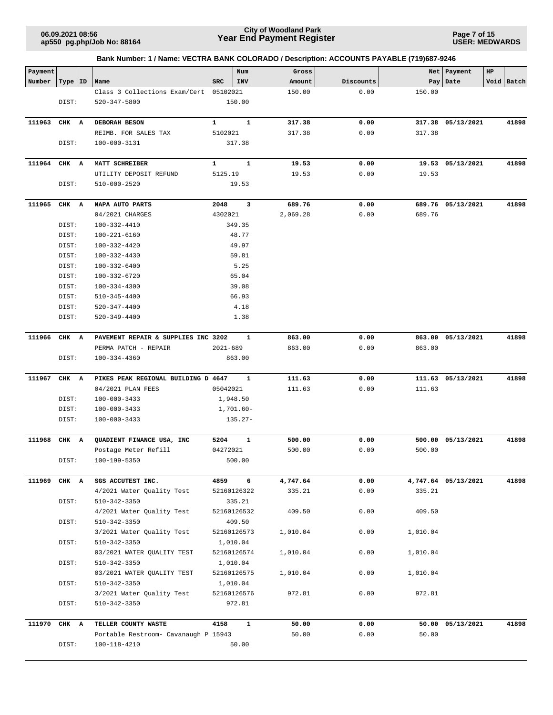**Page 7 of 15 USER: MEDWARDS**

| Payment      |           |                                                 |                  | Num          | Gross    |           | Net      | Payment             | HP |            |
|--------------|-----------|-------------------------------------------------|------------------|--------------|----------|-----------|----------|---------------------|----|------------|
| Number       | Type   ID | Name                                            | <b>SRC</b>       | INV          | Amount   | Discounts | Pay      | Date                |    | Void Batch |
|              |           | Class 3 Collections Exam/Cert                   | 05102021         |              | 150.00   | 0.00      | 150.00   |                     |    |            |
|              | DIST:     | $520 - 347 - 5800$                              |                  | 150.00       |          |           |          |                     |    |            |
|              |           |                                                 |                  |              |          |           |          |                     |    |            |
| 111963       | CHK A     | DEBORAH BESON                                   | $\mathbf{1}$     | ${\bf 1}$    | 317.38   | 0.00      |          | 317.38 05/13/2021   |    | 41898      |
|              |           | REIMB. FOR SALES TAX                            | 5102021          |              | 317.38   | 0.00      | 317.38   |                     |    |            |
|              | DIST:     | 100-000-3131                                    |                  | 317.38       |          |           |          |                     |    |            |
|              |           |                                                 |                  |              |          |           |          |                     |    |            |
| 111964       | CHK A     | MATT SCHREIBER                                  | $\mathbf{1}$     | 1            | 19.53    | 0.00      |          | 19.53 05/13/2021    |    | 41898      |
|              |           | UTILITY DEPOSIT REFUND                          | 5125.19          |              | 19.53    | 0.00      | 19.53    |                     |    |            |
|              | DIST:     | 510-000-2520                                    |                  | 19.53        |          |           |          |                     |    |            |
|              |           |                                                 |                  |              |          |           |          |                     |    |            |
| 111965       | CHK A     | NAPA AUTO PARTS                                 | 2048             | 3            | 689.76   | 0.00      |          | 689.76 05/13/2021   |    | 41898      |
|              |           | 04/2021 CHARGES                                 | 4302021          |              | 2,069.28 | 0.00      | 689.76   |                     |    |            |
|              | DIST:     | 100-332-4410                                    |                  | 349.35       |          |           |          |                     |    |            |
|              | DIST:     | 100-221-6160                                    |                  | 48.77        |          |           |          |                     |    |            |
|              | DIST:     | 100-332-4420                                    |                  | 49.97        |          |           |          |                     |    |            |
|              | DIST:     | 100-332-4430                                    |                  | 59.81        |          |           |          |                     |    |            |
|              | DIST:     | 100-332-6400                                    |                  | 5.25         |          |           |          |                     |    |            |
|              | DIST:     | 100-332-6720                                    |                  | 65.04        |          |           |          |                     |    |            |
|              | DIST:     | 100-334-4300                                    |                  | 39.08        |          |           |          |                     |    |            |
|              | DIST:     | 510-345-4400                                    |                  | 66.93        |          |           |          |                     |    |            |
|              | DIST:     | $520 - 347 - 4400$                              |                  | 4.18         |          |           |          |                     |    |            |
|              | DIST:     | 520-349-4400                                    |                  | 1.38         |          |           |          |                     |    |            |
|              |           |                                                 |                  |              |          |           |          |                     |    |            |
| 111966       | CHK A     | PAVEMENT REPAIR & SUPPLIES INC 3202             |                  | 1            | 863.00   | 0.00      | 863.00   | 05/13/2021          |    | 41898      |
|              |           | PERMA PATCH - REPAIR                            | $2021 - 689$     |              | 863.00   | 0.00      | 863.00   |                     |    |            |
|              | DIST:     | 100-334-4360                                    |                  | 863.00       |          |           |          |                     |    |            |
|              |           |                                                 |                  |              |          |           |          |                     |    |            |
| 111967       | CHK A     | PIKES PEAK REGIONAL BUILDING D 4647             |                  | 1            | 111.63   | 0.00      |          | 111.63 05/13/2021   |    | 41898      |
|              |           | 04/2021 PLAN FEES                               | 05042021         |              | 111.63   | 0.00      | 111.63   |                     |    |            |
|              | DIST:     | $100 - 000 - 3433$                              |                  | 1,948.50     |          |           |          |                     |    |            |
|              | DIST:     | $100 - 000 - 3433$                              |                  | $1,701.60 -$ |          |           |          |                     |    |            |
|              | DIST:     | $100 - 000 - 3433$                              |                  | $135.27-$    |          |           |          |                     |    |            |
|              |           |                                                 |                  |              |          |           |          | 500.00 05/13/2021   |    | 41898      |
| 111968       | CHK A     | QUADIENT FINANCE USA, INC                       | 5204<br>04272021 | $\mathbf{1}$ | 500.00   | 0.00      |          |                     |    |            |
|              |           | Postage Meter Refill                            |                  |              | 500.00   | 0.00      | 500.00   |                     |    |            |
|              | DIST:     | 100-199-5350                                    |                  | 500.00       |          |           |          |                     |    |            |
| 111969       | CHK A     | SGS ACCUTEST INC.                               | 4859             | 6            | 4,747.64 | 0.00      |          | 4,747.64 05/13/2021 |    | 41898      |
|              |           | 4/2021 Water Quality Test                       |                  | 52160126322  | 335.21   | 0.00      | 335.21   |                     |    |            |
|              | DIST:     | 510-342-3350                                    |                  | 335.21       |          |           |          |                     |    |            |
|              |           | 4/2021 Water Quality Test                       |                  | 52160126532  | 409.50   | 0.00      | 409.50   |                     |    |            |
|              | DIST:     | $510 - 342 - 3350$                              |                  | 409.50       |          |           |          |                     |    |            |
|              |           |                                                 |                  |              |          | 0.00      |          |                     |    |            |
|              |           | 3/2021 Water Quality Test<br>$510 - 342 - 3350$ |                  | 52160126573  | 1,010.04 |           | 1,010.04 |                     |    |            |
|              | DIST:     |                                                 |                  | 1,010.04     |          |           |          |                     |    |            |
|              |           | 03/2021 WATER QUALITY TEST                      |                  | 52160126574  | 1,010.04 | 0.00      | 1,010.04 |                     |    |            |
|              | DIST:     | 510-342-3350                                    |                  | 1,010.04     |          |           |          |                     |    |            |
|              |           | 03/2021 WATER QUALITY TEST                      |                  | 52160126575  | 1,010.04 | 0.00      | 1,010.04 |                     |    |            |
|              | DIST:     | 510-342-3350                                    |                  | 1,010.04     |          |           |          |                     |    |            |
|              |           | 3/2021 Water Quality Test                       |                  | 52160126576  | 972.81   | 0.00      | 972.81   |                     |    |            |
|              | DIST:     | 510-342-3350                                    |                  | 972.81       |          |           |          |                     |    |            |
| 111970 CHK A |           | TELLER COUNTY WASTE                             | 4158             | $\mathbf{1}$ | 50.00    | 0.00      |          | 50.00 05/13/2021    |    | 41898      |
|              |           | Portable Restroom- Cavanaugh P 15943            |                  |              | 50.00    | 0.00      | 50.00    |                     |    |            |
|              | DIST:     | 100-118-4210                                    |                  | 50.00        |          |           |          |                     |    |            |
|              |           |                                                 |                  |              |          |           |          |                     |    |            |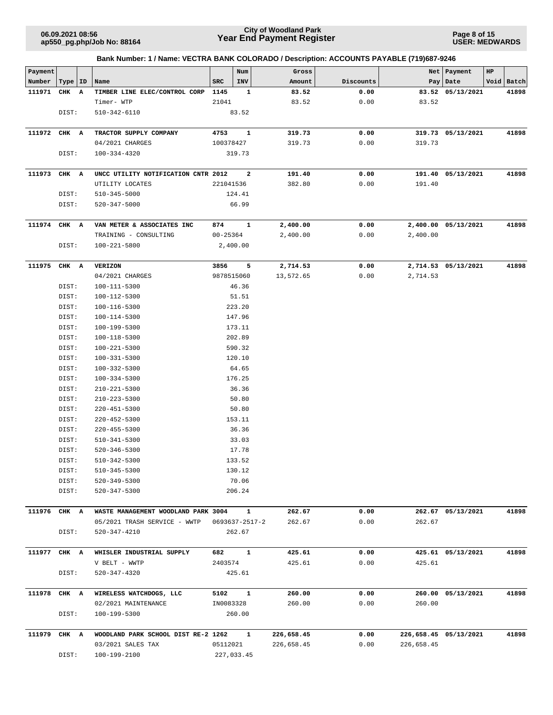**Page 8 of 15 USER: MEDWARDS**

| Payment      |       |    |                                     |              | Num            | Gross      |           |            | Net   Payment         | HP |            |
|--------------|-------|----|-------------------------------------|--------------|----------------|------------|-----------|------------|-----------------------|----|------------|
| Number       | Type  | ID | Name                                | <b>SRC</b>   | INV            | Amount     | Discounts |            | Pay   Date            |    | Void Batch |
| 111971       | CHK A |    | TIMBER LINE ELEC/CONTROL CORP       | 1145         | 1              | 83.52      | 0.00      |            | 83.52 05/13/2021      |    | 41898      |
|              |       |    | Timer- WTP                          | 21041        |                | 83.52      | 0.00      | 83.52      |                       |    |            |
|              | DIST: |    | 510-342-6110                        |              | 83.52          |            |           |            |                       |    |            |
|              |       |    |                                     |              |                |            |           |            |                       |    |            |
| 111972       | CHK A |    | TRACTOR SUPPLY COMPANY              | 4753         | $\mathbf{1}$   | 319.73     | 0.00      |            | 319.73 05/13/2021     |    | 41898      |
|              |       |    | 04/2021 CHARGES                     | 100378427    |                | 319.73     | 0.00      | 319.73     |                       |    |            |
|              | DIST: |    | 100-334-4320                        |              | 319.73         |            |           |            |                       |    |            |
|              |       |    |                                     |              |                |            |           |            |                       |    |            |
| 111973       | CHK A |    | UNCC UTILITY NOTIFICATION CNTR 2012 |              | 2              | 191.40     | 0.00      |            | 191.40 05/13/2021     |    | 41898      |
|              |       |    | UTILITY LOCATES                     | 221041536    |                | 382.80     | 0.00      | 191.40     |                       |    |            |
|              | DIST: |    | 510-345-5000                        |              | 124.41         |            |           |            |                       |    |            |
|              | DIST: |    | 520-347-5000                        |              | 66.99          |            |           |            |                       |    |            |
|              |       |    |                                     |              |                |            |           |            |                       |    |            |
| 111974       | CHK A |    | VAN METER & ASSOCIATES INC          | 874          | $\mathbf{1}$   | 2,400.00   | 0.00      |            | 2,400.00 05/13/2021   |    | 41898      |
|              |       |    | TRAINING - CONSULTING               | $00 - 25364$ |                | 2,400.00   | 0.00      | 2,400.00   |                       |    |            |
|              | DIST: |    | 100-221-5800                        |              | 2,400.00       |            |           |            |                       |    |            |
|              |       |    |                                     |              |                |            |           |            |                       |    |            |
| 111975       | CHK A |    | <b>VERIZON</b>                      | 3856         | 5              | 2,714.53   | 0.00      |            | 2,714.53 05/13/2021   |    | 41898      |
|              |       |    | 04/2021 CHARGES                     | 9878515060   |                | 13,572.65  | 0.00      | 2,714.53   |                       |    |            |
|              | DIST: |    | 100-111-5300                        |              | 46.36          |            |           |            |                       |    |            |
|              | DIST: |    | 100-112-5300                        |              | 51.51          |            |           |            |                       |    |            |
|              | DIST: |    | 100-116-5300                        |              | 223.20         |            |           |            |                       |    |            |
|              | DIST: |    | 100-114-5300                        |              | 147.96         |            |           |            |                       |    |            |
|              | DIST: |    | 100-199-5300                        |              | 173.11         |            |           |            |                       |    |            |
|              | DIST: |    | 100-118-5300                        |              | 202.89         |            |           |            |                       |    |            |
|              | DIST: |    | 100-221-5300                        |              | 590.32         |            |           |            |                       |    |            |
|              | DIST: |    | 100-331-5300                        |              | 120.10         |            |           |            |                       |    |            |
|              | DIST: |    | 100-332-5300                        |              | 64.65          |            |           |            |                       |    |            |
|              | DIST: |    | 100-334-5300                        |              | 176.25         |            |           |            |                       |    |            |
|              | DIST: |    | $210 - 221 - 5300$                  |              | 36.36          |            |           |            |                       |    |            |
|              | DIST: |    | $210 - 223 - 5300$                  |              | 50.80          |            |           |            |                       |    |            |
|              | DIST: |    | 220-451-5300                        |              | 50.80          |            |           |            |                       |    |            |
|              | DIST: |    | 220-452-5300                        |              | 153.11         |            |           |            |                       |    |            |
|              | DIST: |    | $220 - 455 - 5300$                  |              | 36.36          |            |           |            |                       |    |            |
|              | DIST: |    | 510-341-5300                        |              | 33.03          |            |           |            |                       |    |            |
|              | DIST: |    | $520 - 346 - 5300$                  |              | 17.78          |            |           |            |                       |    |            |
|              | DIST: |    | 510-342-5300                        |              | 133.52         |            |           |            |                       |    |            |
|              | DIST: |    | $510 - 345 - 5300$                  |              | 130.12         |            |           |            |                       |    |            |
|              | DIST: |    | 520-349-5300                        |              | 70.06          |            |           |            |                       |    |            |
|              | DIST: |    | $520 - 347 - 5300$                  |              | 206.24         |            |           |            |                       |    |            |
|              |       |    |                                     |              |                |            |           |            |                       |    |            |
| 111976       | CHK A |    | WASTE MANAGEMENT WOODLAND PARK 3004 |              | $\mathbf{1}$   | 262.67     | 0.00      |            | 262.67 05/13/2021     |    | 41898      |
|              |       |    | 05/2021 TRASH SERVICE - WWTP        |              | 0693637-2517-2 | 262.67     | 0.00      | 262.67     |                       |    |            |
|              | DIST: |    | 520-347-4210                        |              | 262.67         |            |           |            |                       |    |            |
|              |       |    |                                     |              |                |            |           |            |                       |    |            |
| 111977 CHK A |       |    | WHISLER INDUSTRIAL SUPPLY           | 682          | $\mathbf{1}$   | 425.61     | 0.00      |            | 425.61 05/13/2021     |    | 41898      |
|              |       |    | V BELT - WWTP                       | 2403574      |                | 425.61     | 0.00      | 425.61     |                       |    |            |
|              | DIST: |    | 520-347-4320                        |              | 425.61         |            |           |            |                       |    |            |
|              |       |    |                                     |              |                |            |           |            |                       |    |            |
| 111978       | CHK A |    | WIRELESS WATCHDOGS, LLC             | 5102         | $\mathbf{1}$   | 260.00     | 0.00      |            | 260.00 05/13/2021     |    | 41898      |
|              |       |    | 02/2021 MAINTENANCE                 | IN0083328    |                | 260.00     | 0.00      | 260.00     |                       |    |            |
|              | DIST: |    | 100-199-5300                        |              | 260.00         |            |           |            |                       |    |            |
|              |       |    |                                     |              |                |            |           |            |                       |    |            |
| 111979 CHK A |       |    | WOODLAND PARK SCHOOL DIST RE-2 1262 |              | $\mathbf{1}$   | 226,658.45 | 0.00      |            | 226,658.45 05/13/2021 |    | 41898      |
|              |       |    | 03/2021 SALES TAX                   | 05112021     |                | 226,658.45 | 0.00      | 226,658.45 |                       |    |            |
|              | DIST: |    | 100-199-2100                        |              | 227,033.45     |            |           |            |                       |    |            |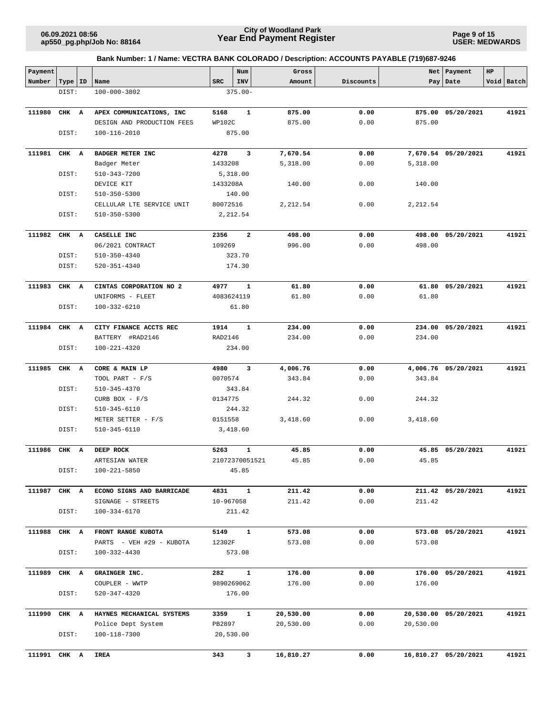**Page 9 of 15 USER: MEDWARDS**

| Payment      |       |    |                            |            | Num                     | Gross     |           |           | Net   Payment        | HP |            |
|--------------|-------|----|----------------------------|------------|-------------------------|-----------|-----------|-----------|----------------------|----|------------|
| Number       | Type  | ID | Name                       | <b>SRC</b> | INV                     | Amount    | Discounts |           | Pay Date             |    | Void Batch |
|              | DIST: |    | 100-000-3802               |            | $375.00 -$              |           |           |           |                      |    |            |
|              |       |    |                            |            |                         |           |           |           |                      |    |            |
| 111980       | CHK A |    | APEX COMMUNICATIONS, INC   | 5168       | $\mathbf{1}$            | 875.00    | 0.00      | 875.00    | 05/20/2021           |    | 41921      |
|              |       |    | DESIGN AND PRODUCTION FEES | WP102C     |                         | 875.00    | 0.00      | 875.00    |                      |    |            |
|              | DIST: |    | $100 - 116 - 2010$         |            | 875.00                  |           |           |           |                      |    |            |
| 111981       | CHK A |    | BADGER METER INC           | 4278       | 3                       | 7,670.54  | 0.00      |           | 7,670.54 05/20/2021  |    | 41921      |
|              |       |    | Badger Meter               | 1433208    |                         | 5,318.00  | 0.00      | 5,318.00  |                      |    |            |
|              | DIST: |    | 510-343-7200               |            | 5,318.00                |           |           |           |                      |    |            |
|              |       |    | DEVICE KIT                 | 1433208A   |                         | 140.00    | 0.00      | 140.00    |                      |    |            |
|              | DIST: |    | $510 - 350 - 5300$         |            | 140.00                  |           |           |           |                      |    |            |
|              |       |    | CELLULAR LTE SERVICE UNIT  | 80072516   |                         | 2,212.54  | 0.00      | 2,212.54  |                      |    |            |
|              | DIST: |    | 510-350-5300               |            | 2,212.54                |           |           |           |                      |    |            |
|              |       |    |                            |            |                         |           |           |           |                      |    |            |
| 111982       | CHK A |    | CASELLE INC                | 2356       | $\overline{\mathbf{2}}$ | 498.00    | 0.00      |           | 498.00 05/20/2021    |    | 41921      |
|              |       |    | 06/2021 CONTRACT           | 109269     |                         | 996.00    | 0.00      | 498.00    |                      |    |            |
|              | DIST: |    | $510 - 350 - 4340$         |            | 323.70                  |           |           |           |                      |    |            |
|              | DIST: |    | 520-351-4340               |            | 174.30                  |           |           |           |                      |    |            |
| 111983       | CHK A |    | CINTAS CORPORATION NO 2    | 4977       | 1                       | 61.80     | 0.00      | 61.80     | 05/20/2021           |    | 41921      |
|              |       |    | UNIFORMS - FLEET           | 4083624119 |                         | 61.80     | 0.00      | 61.80     |                      |    |            |
|              | DIST: |    | 100-332-6210               |            | 61.80                   |           |           |           |                      |    |            |
| 111984       | CHK A |    | CITY FINANCE ACCTS REC     | 1914       | 1                       | 234.00    | 0.00      | 234.00    | 05/20/2021           |    | 41921      |
|              |       |    | BATTERY #RAD2146           | RAD2146    |                         | 234.00    | 0.00      | 234.00    |                      |    |            |
|              | DIST: |    | 100-221-4320               |            | 234.00                  |           |           |           |                      |    |            |
|              |       |    |                            |            |                         |           |           |           |                      |    |            |
| 111985       | CHK A |    | CORE & MAIN LP             | 4980       | 3                       | 4,006.76  | 0.00      |           | 4,006.76 05/20/2021  |    | 41921      |
|              |       |    | TOOL PART - F/S            | 0070574    |                         | 343.84    | 0.00      | 343.84    |                      |    |            |
|              | DIST: |    | $510 - 345 - 4370$         |            | 343.84                  |           |           |           |                      |    |            |
|              |       |    | CURB BOX - $F/S$           | 0134775    |                         | 244.32    | 0.00      | 244.32    |                      |    |            |
|              | DIST: |    | $510 - 345 - 6110$         |            | 244.32                  |           |           |           |                      |    |            |
|              |       |    | METER SETTER - F/S         | 0151558    |                         | 3,418.60  | 0.00      | 3,418.60  |                      |    |            |
|              | DIST: |    | 510-345-6110               |            | 3,418.60                |           |           |           |                      |    |            |
| 111986       | CHK A |    | DEEP ROCK                  | 5263       | 1                       | 45.85     | 0.00      |           | 45.85 05/20/2021     |    | 41921      |
|              |       |    | ARTESIAN WATER             |            | 21072370051521          | 45.85     | 0.00      | 45.85     |                      |    |            |
|              | DIST: |    | 100-221-5850               |            | 45.85                   |           |           |           |                      |    |            |
| 111987 CHK A |       |    | ECONO SIGNS AND BARRICADE  | 4831       | $\mathbf{1}$            | 211.42    | 0.00      |           | 211.42 05/20/2021    |    | 41921      |
|              |       |    | SIGNAGE - STREETS          | 10-967058  |                         | 211.42    | 0.00      | 211.42    |                      |    |            |
|              | DIST: |    | 100-334-6170               |            | 211.42                  |           |           |           |                      |    |            |
|              |       |    |                            |            |                         |           |           |           |                      |    |            |
| 111988       | CHK A |    | FRONT RANGE KUBOTA         | 5149       | $\mathbf{1}$            | 573.08    | 0.00      |           | 573.08 05/20/2021    |    | 41921      |
|              |       |    | PARTS - VEH #29 - KUBOTA   | 12302F     |                         | 573.08    | 0.00      | 573.08    |                      |    |            |
|              | DIST: |    | 100-332-4430               |            | 573.08                  |           |           |           |                      |    |            |
| 111989       | CHK A |    | GRAINGER INC.              | 282        | $\mathbf{1}$            | 176.00    | 0.00      |           | 176.00 05/20/2021    |    | 41921      |
|              |       |    | COUPLER - WWTP             |            | 9890269062              | 176.00    | 0.00      | 176.00    |                      |    |            |
|              | DIST: |    | 520-347-4320               |            | 176.00                  |           |           |           |                      |    |            |
| 111990       | CHK A |    | HAYNES MECHANICAL SYSTEMS  | 3359       | 1                       | 20,530.00 | 0.00      |           | 20,530.00 05/20/2021 |    | 41921      |
|              |       |    | Police Dept System         | PB2897     |                         | 20,530.00 | 0.00      | 20,530.00 |                      |    |            |
|              | DIST: |    | 100-118-7300               |            | 20,530.00               |           |           |           |                      |    |            |
|              |       |    |                            |            |                         |           |           |           |                      |    |            |
| 111991 CHK A |       |    | <b>IREA</b>                | 343        | 3                       | 16,810.27 | 0.00      |           | 16,810.27 05/20/2021 |    | 41921      |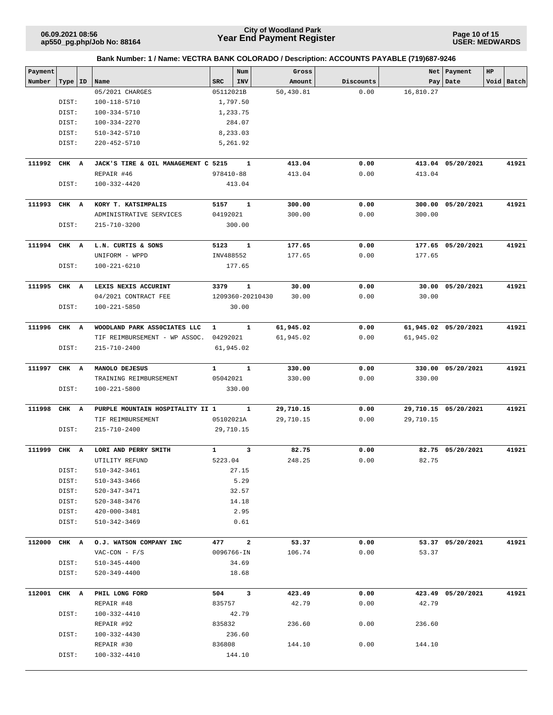**Page 10 of 15 USER: MEDWARDS**

| Payment<br>Net Payment<br>HP<br>Num<br>Gross<br>Number<br>Name<br><b>SRC</b><br><b>INV</b><br>Pay   Date<br>Void Batch<br>Type   ID<br>Amount<br>Discounts<br>50,430.81<br>05/2021 CHARGES<br>05112021B<br>0.00<br>16,810.27<br>DIST:<br>100-118-5710<br>1,797.50<br>DIST:<br>100-334-5710<br>1,233.75<br>DIST:<br>100-334-2270<br>284.07<br>DIST:<br>510-342-5710<br>8,233.03<br>DIST:<br>$220 - 452 - 5710$<br>5,261.92<br>111992<br>$\mathbf{1}$<br>413.04<br>0.00<br>413.04 05/20/2021<br>CHK A<br>JACK'S TIRE & OIL MANAGEMENT C 5215<br>413.04<br>REPAIR #46<br>978410-88<br>413.04<br>0.00<br>DIST:<br>100-332-4420<br>413.04<br>111993<br>CHK A<br>5157<br>$\mathbf{1}$<br>KORY T. KATSIMPALIS<br>300.00<br>0.00<br>300.00<br>05/20/2021<br>04192021<br>300.00<br>0.00<br>300.00<br>ADMINISTRATIVE SERVICES<br>DIST:<br>215-710-3200<br>300.00<br>111994<br>CHK<br>L.N. CURTIS & SONS<br>5123<br>1<br>177.65<br>0.00<br>177.65 05/20/2021<br>A<br>0.00<br>UNIFORM - WPPD<br>INV488552<br>177.65<br>177.65<br>DIST:<br>$100 - 221 - 6210$<br>177.65<br>111995<br>CHK A<br>LEXIS NEXIS ACCURINT<br>$\mathbf{1}$<br>30.00<br>30.00<br>05/20/2021<br>41921<br>3379<br>0.00<br>04/2021 CONTRACT FEE<br>30.00<br>0.00<br>30.00<br>1209360-20210430<br>DIST:<br>30.00<br>$100 - 221 - 5850$<br>111996<br>$\mathbf{1}$<br>61,945.02<br>61,945.02 05/20/2021<br>CHK A<br>WOODLAND PARK ASSOCIATES LLC<br>$\mathbf{1}$<br>0.00<br>TIF REIMBURSEMENT - WP ASSOC.<br>04292021<br>61,945.02<br>0.00<br>61,945.02<br>DIST:<br>215-710-2400<br>61,945.02<br>${\bf 1}$<br>41921<br>111997<br>$\mathbf{1}$<br>330.00<br>0.00<br>330.00<br>05/20/2021<br>CHK A<br>MANOLO DEJESUS<br>05042021<br>TRAINING REIMBURSEMENT<br>330.00<br>0.00<br>330.00<br>DIST:<br>$100 - 221 - 5800$<br>330.00<br>111998<br>CHK<br>PURPLE MOUNTAIN HOSPITALITY II 1<br>1<br>29,710.15<br>0.00<br>29,710.15 05/20/2021<br>A<br>TIF REIMBURSEMENT<br>05102021A<br>29,710.15<br>0.00<br>29,710.15<br>DIST:<br>215-710-2400<br>29,710.15<br>3<br>1<br>82.75<br>82.75 05/20/2021<br>111999<br>CHK<br>LORI AND PERRY SMITH<br>0.00<br>A<br>5223.04<br>0.00<br>82.75<br>248.25<br>UTILITY REFUND<br>DIST:<br>510-342-3461<br>27.15<br>5.29<br>DIST:<br>510-343-3466<br>DIST:<br>32.57<br>520-347-3471<br>DIST:<br>14.18<br>520-348-3476<br>2.95<br>DIST:<br>420-000-3481<br>DIST:<br>510-342-3469<br>0.61<br>$\mathbf{2}$<br>112000<br>CHK A<br>O.J. WATSON COMPANY INC<br>477<br>53.37<br>0.00<br>53.37 05/20/2021<br>0.00<br>$VAC-CON - F/S$<br>0096766-IN<br>106.74<br>53.37<br>DIST:<br>34.69<br>510-345-4400<br>DIST:<br>$520 - 349 - 4400$<br>18.68<br>112001<br>CHK A<br>PHIL LONG FORD<br>504<br>$\overline{\mathbf{3}}$<br>423.49<br>0.00<br>423.49 05/20/2021<br>42.79<br>0.00<br>42.79<br>REPAIR #48<br>835757<br>DIST:<br>100-332-4410<br>42.79<br>0.00<br>236.60<br>REPAIR #92<br>835832<br>236.60<br>DIST:<br>100-332-4430<br>236.60<br>REPAIR #30<br>836808<br>144.10<br>0.00<br>144.10<br>DIST:<br>100-332-4410<br>144.10 |  | Bank Number: 1 / Name: VECTRA BANK COLORADO / Description: ACCOUNTS PAYABLE (719)687-9246 |  |  |  |       |
|-------------------------------------------------------------------------------------------------------------------------------------------------------------------------------------------------------------------------------------------------------------------------------------------------------------------------------------------------------------------------------------------------------------------------------------------------------------------------------------------------------------------------------------------------------------------------------------------------------------------------------------------------------------------------------------------------------------------------------------------------------------------------------------------------------------------------------------------------------------------------------------------------------------------------------------------------------------------------------------------------------------------------------------------------------------------------------------------------------------------------------------------------------------------------------------------------------------------------------------------------------------------------------------------------------------------------------------------------------------------------------------------------------------------------------------------------------------------------------------------------------------------------------------------------------------------------------------------------------------------------------------------------------------------------------------------------------------------------------------------------------------------------------------------------------------------------------------------------------------------------------------------------------------------------------------------------------------------------------------------------------------------------------------------------------------------------------------------------------------------------------------------------------------------------------------------------------------------------------------------------------------------------------------------------------------------------------------------------------------------------------------------------------------------------------------------------------------------------------------------------------------------------------------------------------------------------------------------------------------------------------------------------------------------------------------------------------------------------------------------------------------------------------------------------------------------------------------------------------------------------------------------------------------------------------------------------------------------------------------------------------|--|-------------------------------------------------------------------------------------------|--|--|--|-------|
|                                                                                                                                                                                                                                                                                                                                                                                                                                                                                                                                                                                                                                                                                                                                                                                                                                                                                                                                                                                                                                                                                                                                                                                                                                                                                                                                                                                                                                                                                                                                                                                                                                                                                                                                                                                                                                                                                                                                                                                                                                                                                                                                                                                                                                                                                                                                                                                                                                                                                                                                                                                                                                                                                                                                                                                                                                                                                                                                                                                                       |  |                                                                                           |  |  |  |       |
|                                                                                                                                                                                                                                                                                                                                                                                                                                                                                                                                                                                                                                                                                                                                                                                                                                                                                                                                                                                                                                                                                                                                                                                                                                                                                                                                                                                                                                                                                                                                                                                                                                                                                                                                                                                                                                                                                                                                                                                                                                                                                                                                                                                                                                                                                                                                                                                                                                                                                                                                                                                                                                                                                                                                                                                                                                                                                                                                                                                                       |  |                                                                                           |  |  |  |       |
|                                                                                                                                                                                                                                                                                                                                                                                                                                                                                                                                                                                                                                                                                                                                                                                                                                                                                                                                                                                                                                                                                                                                                                                                                                                                                                                                                                                                                                                                                                                                                                                                                                                                                                                                                                                                                                                                                                                                                                                                                                                                                                                                                                                                                                                                                                                                                                                                                                                                                                                                                                                                                                                                                                                                                                                                                                                                                                                                                                                                       |  |                                                                                           |  |  |  |       |
|                                                                                                                                                                                                                                                                                                                                                                                                                                                                                                                                                                                                                                                                                                                                                                                                                                                                                                                                                                                                                                                                                                                                                                                                                                                                                                                                                                                                                                                                                                                                                                                                                                                                                                                                                                                                                                                                                                                                                                                                                                                                                                                                                                                                                                                                                                                                                                                                                                                                                                                                                                                                                                                                                                                                                                                                                                                                                                                                                                                                       |  |                                                                                           |  |  |  |       |
|                                                                                                                                                                                                                                                                                                                                                                                                                                                                                                                                                                                                                                                                                                                                                                                                                                                                                                                                                                                                                                                                                                                                                                                                                                                                                                                                                                                                                                                                                                                                                                                                                                                                                                                                                                                                                                                                                                                                                                                                                                                                                                                                                                                                                                                                                                                                                                                                                                                                                                                                                                                                                                                                                                                                                                                                                                                                                                                                                                                                       |  |                                                                                           |  |  |  |       |
|                                                                                                                                                                                                                                                                                                                                                                                                                                                                                                                                                                                                                                                                                                                                                                                                                                                                                                                                                                                                                                                                                                                                                                                                                                                                                                                                                                                                                                                                                                                                                                                                                                                                                                                                                                                                                                                                                                                                                                                                                                                                                                                                                                                                                                                                                                                                                                                                                                                                                                                                                                                                                                                                                                                                                                                                                                                                                                                                                                                                       |  |                                                                                           |  |  |  |       |
|                                                                                                                                                                                                                                                                                                                                                                                                                                                                                                                                                                                                                                                                                                                                                                                                                                                                                                                                                                                                                                                                                                                                                                                                                                                                                                                                                                                                                                                                                                                                                                                                                                                                                                                                                                                                                                                                                                                                                                                                                                                                                                                                                                                                                                                                                                                                                                                                                                                                                                                                                                                                                                                                                                                                                                                                                                                                                                                                                                                                       |  |                                                                                           |  |  |  |       |
|                                                                                                                                                                                                                                                                                                                                                                                                                                                                                                                                                                                                                                                                                                                                                                                                                                                                                                                                                                                                                                                                                                                                                                                                                                                                                                                                                                                                                                                                                                                                                                                                                                                                                                                                                                                                                                                                                                                                                                                                                                                                                                                                                                                                                                                                                                                                                                                                                                                                                                                                                                                                                                                                                                                                                                                                                                                                                                                                                                                                       |  |                                                                                           |  |  |  |       |
|                                                                                                                                                                                                                                                                                                                                                                                                                                                                                                                                                                                                                                                                                                                                                                                                                                                                                                                                                                                                                                                                                                                                                                                                                                                                                                                                                                                                                                                                                                                                                                                                                                                                                                                                                                                                                                                                                                                                                                                                                                                                                                                                                                                                                                                                                                                                                                                                                                                                                                                                                                                                                                                                                                                                                                                                                                                                                                                                                                                                       |  |                                                                                           |  |  |  | 41921 |
|                                                                                                                                                                                                                                                                                                                                                                                                                                                                                                                                                                                                                                                                                                                                                                                                                                                                                                                                                                                                                                                                                                                                                                                                                                                                                                                                                                                                                                                                                                                                                                                                                                                                                                                                                                                                                                                                                                                                                                                                                                                                                                                                                                                                                                                                                                                                                                                                                                                                                                                                                                                                                                                                                                                                                                                                                                                                                                                                                                                                       |  |                                                                                           |  |  |  |       |
|                                                                                                                                                                                                                                                                                                                                                                                                                                                                                                                                                                                                                                                                                                                                                                                                                                                                                                                                                                                                                                                                                                                                                                                                                                                                                                                                                                                                                                                                                                                                                                                                                                                                                                                                                                                                                                                                                                                                                                                                                                                                                                                                                                                                                                                                                                                                                                                                                                                                                                                                                                                                                                                                                                                                                                                                                                                                                                                                                                                                       |  |                                                                                           |  |  |  |       |
|                                                                                                                                                                                                                                                                                                                                                                                                                                                                                                                                                                                                                                                                                                                                                                                                                                                                                                                                                                                                                                                                                                                                                                                                                                                                                                                                                                                                                                                                                                                                                                                                                                                                                                                                                                                                                                                                                                                                                                                                                                                                                                                                                                                                                                                                                                                                                                                                                                                                                                                                                                                                                                                                                                                                                                                                                                                                                                                                                                                                       |  |                                                                                           |  |  |  | 41921 |
|                                                                                                                                                                                                                                                                                                                                                                                                                                                                                                                                                                                                                                                                                                                                                                                                                                                                                                                                                                                                                                                                                                                                                                                                                                                                                                                                                                                                                                                                                                                                                                                                                                                                                                                                                                                                                                                                                                                                                                                                                                                                                                                                                                                                                                                                                                                                                                                                                                                                                                                                                                                                                                                                                                                                                                                                                                                                                                                                                                                                       |  |                                                                                           |  |  |  |       |
|                                                                                                                                                                                                                                                                                                                                                                                                                                                                                                                                                                                                                                                                                                                                                                                                                                                                                                                                                                                                                                                                                                                                                                                                                                                                                                                                                                                                                                                                                                                                                                                                                                                                                                                                                                                                                                                                                                                                                                                                                                                                                                                                                                                                                                                                                                                                                                                                                                                                                                                                                                                                                                                                                                                                                                                                                                                                                                                                                                                                       |  |                                                                                           |  |  |  |       |
|                                                                                                                                                                                                                                                                                                                                                                                                                                                                                                                                                                                                                                                                                                                                                                                                                                                                                                                                                                                                                                                                                                                                                                                                                                                                                                                                                                                                                                                                                                                                                                                                                                                                                                                                                                                                                                                                                                                                                                                                                                                                                                                                                                                                                                                                                                                                                                                                                                                                                                                                                                                                                                                                                                                                                                                                                                                                                                                                                                                                       |  |                                                                                           |  |  |  |       |
|                                                                                                                                                                                                                                                                                                                                                                                                                                                                                                                                                                                                                                                                                                                                                                                                                                                                                                                                                                                                                                                                                                                                                                                                                                                                                                                                                                                                                                                                                                                                                                                                                                                                                                                                                                                                                                                                                                                                                                                                                                                                                                                                                                                                                                                                                                                                                                                                                                                                                                                                                                                                                                                                                                                                                                                                                                                                                                                                                                                                       |  |                                                                                           |  |  |  | 41921 |
|                                                                                                                                                                                                                                                                                                                                                                                                                                                                                                                                                                                                                                                                                                                                                                                                                                                                                                                                                                                                                                                                                                                                                                                                                                                                                                                                                                                                                                                                                                                                                                                                                                                                                                                                                                                                                                                                                                                                                                                                                                                                                                                                                                                                                                                                                                                                                                                                                                                                                                                                                                                                                                                                                                                                                                                                                                                                                                                                                                                                       |  |                                                                                           |  |  |  |       |
|                                                                                                                                                                                                                                                                                                                                                                                                                                                                                                                                                                                                                                                                                                                                                                                                                                                                                                                                                                                                                                                                                                                                                                                                                                                                                                                                                                                                                                                                                                                                                                                                                                                                                                                                                                                                                                                                                                                                                                                                                                                                                                                                                                                                                                                                                                                                                                                                                                                                                                                                                                                                                                                                                                                                                                                                                                                                                                                                                                                                       |  |                                                                                           |  |  |  |       |
|                                                                                                                                                                                                                                                                                                                                                                                                                                                                                                                                                                                                                                                                                                                                                                                                                                                                                                                                                                                                                                                                                                                                                                                                                                                                                                                                                                                                                                                                                                                                                                                                                                                                                                                                                                                                                                                                                                                                                                                                                                                                                                                                                                                                                                                                                                                                                                                                                                                                                                                                                                                                                                                                                                                                                                                                                                                                                                                                                                                                       |  |                                                                                           |  |  |  |       |
|                                                                                                                                                                                                                                                                                                                                                                                                                                                                                                                                                                                                                                                                                                                                                                                                                                                                                                                                                                                                                                                                                                                                                                                                                                                                                                                                                                                                                                                                                                                                                                                                                                                                                                                                                                                                                                                                                                                                                                                                                                                                                                                                                                                                                                                                                                                                                                                                                                                                                                                                                                                                                                                                                                                                                                                                                                                                                                                                                                                                       |  |                                                                                           |  |  |  |       |
|                                                                                                                                                                                                                                                                                                                                                                                                                                                                                                                                                                                                                                                                                                                                                                                                                                                                                                                                                                                                                                                                                                                                                                                                                                                                                                                                                                                                                                                                                                                                                                                                                                                                                                                                                                                                                                                                                                                                                                                                                                                                                                                                                                                                                                                                                                                                                                                                                                                                                                                                                                                                                                                                                                                                                                                                                                                                                                                                                                                                       |  |                                                                                           |  |  |  |       |
|                                                                                                                                                                                                                                                                                                                                                                                                                                                                                                                                                                                                                                                                                                                                                                                                                                                                                                                                                                                                                                                                                                                                                                                                                                                                                                                                                                                                                                                                                                                                                                                                                                                                                                                                                                                                                                                                                                                                                                                                                                                                                                                                                                                                                                                                                                                                                                                                                                                                                                                                                                                                                                                                                                                                                                                                                                                                                                                                                                                                       |  |                                                                                           |  |  |  |       |
|                                                                                                                                                                                                                                                                                                                                                                                                                                                                                                                                                                                                                                                                                                                                                                                                                                                                                                                                                                                                                                                                                                                                                                                                                                                                                                                                                                                                                                                                                                                                                                                                                                                                                                                                                                                                                                                                                                                                                                                                                                                                                                                                                                                                                                                                                                                                                                                                                                                                                                                                                                                                                                                                                                                                                                                                                                                                                                                                                                                                       |  |                                                                                           |  |  |  | 41921 |
|                                                                                                                                                                                                                                                                                                                                                                                                                                                                                                                                                                                                                                                                                                                                                                                                                                                                                                                                                                                                                                                                                                                                                                                                                                                                                                                                                                                                                                                                                                                                                                                                                                                                                                                                                                                                                                                                                                                                                                                                                                                                                                                                                                                                                                                                                                                                                                                                                                                                                                                                                                                                                                                                                                                                                                                                                                                                                                                                                                                                       |  |                                                                                           |  |  |  |       |
|                                                                                                                                                                                                                                                                                                                                                                                                                                                                                                                                                                                                                                                                                                                                                                                                                                                                                                                                                                                                                                                                                                                                                                                                                                                                                                                                                                                                                                                                                                                                                                                                                                                                                                                                                                                                                                                                                                                                                                                                                                                                                                                                                                                                                                                                                                                                                                                                                                                                                                                                                                                                                                                                                                                                                                                                                                                                                                                                                                                                       |  |                                                                                           |  |  |  |       |
|                                                                                                                                                                                                                                                                                                                                                                                                                                                                                                                                                                                                                                                                                                                                                                                                                                                                                                                                                                                                                                                                                                                                                                                                                                                                                                                                                                                                                                                                                                                                                                                                                                                                                                                                                                                                                                                                                                                                                                                                                                                                                                                                                                                                                                                                                                                                                                                                                                                                                                                                                                                                                                                                                                                                                                                                                                                                                                                                                                                                       |  |                                                                                           |  |  |  |       |
|                                                                                                                                                                                                                                                                                                                                                                                                                                                                                                                                                                                                                                                                                                                                                                                                                                                                                                                                                                                                                                                                                                                                                                                                                                                                                                                                                                                                                                                                                                                                                                                                                                                                                                                                                                                                                                                                                                                                                                                                                                                                                                                                                                                                                                                                                                                                                                                                                                                                                                                                                                                                                                                                                                                                                                                                                                                                                                                                                                                                       |  |                                                                                           |  |  |  |       |
|                                                                                                                                                                                                                                                                                                                                                                                                                                                                                                                                                                                                                                                                                                                                                                                                                                                                                                                                                                                                                                                                                                                                                                                                                                                                                                                                                                                                                                                                                                                                                                                                                                                                                                                                                                                                                                                                                                                                                                                                                                                                                                                                                                                                                                                                                                                                                                                                                                                                                                                                                                                                                                                                                                                                                                                                                                                                                                                                                                                                       |  |                                                                                           |  |  |  |       |
|                                                                                                                                                                                                                                                                                                                                                                                                                                                                                                                                                                                                                                                                                                                                                                                                                                                                                                                                                                                                                                                                                                                                                                                                                                                                                                                                                                                                                                                                                                                                                                                                                                                                                                                                                                                                                                                                                                                                                                                                                                                                                                                                                                                                                                                                                                                                                                                                                                                                                                                                                                                                                                                                                                                                                                                                                                                                                                                                                                                                       |  |                                                                                           |  |  |  |       |
|                                                                                                                                                                                                                                                                                                                                                                                                                                                                                                                                                                                                                                                                                                                                                                                                                                                                                                                                                                                                                                                                                                                                                                                                                                                                                                                                                                                                                                                                                                                                                                                                                                                                                                                                                                                                                                                                                                                                                                                                                                                                                                                                                                                                                                                                                                                                                                                                                                                                                                                                                                                                                                                                                                                                                                                                                                                                                                                                                                                                       |  |                                                                                           |  |  |  | 41921 |
|                                                                                                                                                                                                                                                                                                                                                                                                                                                                                                                                                                                                                                                                                                                                                                                                                                                                                                                                                                                                                                                                                                                                                                                                                                                                                                                                                                                                                                                                                                                                                                                                                                                                                                                                                                                                                                                                                                                                                                                                                                                                                                                                                                                                                                                                                                                                                                                                                                                                                                                                                                                                                                                                                                                                                                                                                                                                                                                                                                                                       |  |                                                                                           |  |  |  |       |
|                                                                                                                                                                                                                                                                                                                                                                                                                                                                                                                                                                                                                                                                                                                                                                                                                                                                                                                                                                                                                                                                                                                                                                                                                                                                                                                                                                                                                                                                                                                                                                                                                                                                                                                                                                                                                                                                                                                                                                                                                                                                                                                                                                                                                                                                                                                                                                                                                                                                                                                                                                                                                                                                                                                                                                                                                                                                                                                                                                                                       |  |                                                                                           |  |  |  |       |
|                                                                                                                                                                                                                                                                                                                                                                                                                                                                                                                                                                                                                                                                                                                                                                                                                                                                                                                                                                                                                                                                                                                                                                                                                                                                                                                                                                                                                                                                                                                                                                                                                                                                                                                                                                                                                                                                                                                                                                                                                                                                                                                                                                                                                                                                                                                                                                                                                                                                                                                                                                                                                                                                                                                                                                                                                                                                                                                                                                                                       |  |                                                                                           |  |  |  | 41921 |
|                                                                                                                                                                                                                                                                                                                                                                                                                                                                                                                                                                                                                                                                                                                                                                                                                                                                                                                                                                                                                                                                                                                                                                                                                                                                                                                                                                                                                                                                                                                                                                                                                                                                                                                                                                                                                                                                                                                                                                                                                                                                                                                                                                                                                                                                                                                                                                                                                                                                                                                                                                                                                                                                                                                                                                                                                                                                                                                                                                                                       |  |                                                                                           |  |  |  |       |
|                                                                                                                                                                                                                                                                                                                                                                                                                                                                                                                                                                                                                                                                                                                                                                                                                                                                                                                                                                                                                                                                                                                                                                                                                                                                                                                                                                                                                                                                                                                                                                                                                                                                                                                                                                                                                                                                                                                                                                                                                                                                                                                                                                                                                                                                                                                                                                                                                                                                                                                                                                                                                                                                                                                                                                                                                                                                                                                                                                                                       |  |                                                                                           |  |  |  |       |
|                                                                                                                                                                                                                                                                                                                                                                                                                                                                                                                                                                                                                                                                                                                                                                                                                                                                                                                                                                                                                                                                                                                                                                                                                                                                                                                                                                                                                                                                                                                                                                                                                                                                                                                                                                                                                                                                                                                                                                                                                                                                                                                                                                                                                                                                                                                                                                                                                                                                                                                                                                                                                                                                                                                                                                                                                                                                                                                                                                                                       |  |                                                                                           |  |  |  |       |
|                                                                                                                                                                                                                                                                                                                                                                                                                                                                                                                                                                                                                                                                                                                                                                                                                                                                                                                                                                                                                                                                                                                                                                                                                                                                                                                                                                                                                                                                                                                                                                                                                                                                                                                                                                                                                                                                                                                                                                                                                                                                                                                                                                                                                                                                                                                                                                                                                                                                                                                                                                                                                                                                                                                                                                                                                                                                                                                                                                                                       |  |                                                                                           |  |  |  |       |
|                                                                                                                                                                                                                                                                                                                                                                                                                                                                                                                                                                                                                                                                                                                                                                                                                                                                                                                                                                                                                                                                                                                                                                                                                                                                                                                                                                                                                                                                                                                                                                                                                                                                                                                                                                                                                                                                                                                                                                                                                                                                                                                                                                                                                                                                                                                                                                                                                                                                                                                                                                                                                                                                                                                                                                                                                                                                                                                                                                                                       |  |                                                                                           |  |  |  |       |
|                                                                                                                                                                                                                                                                                                                                                                                                                                                                                                                                                                                                                                                                                                                                                                                                                                                                                                                                                                                                                                                                                                                                                                                                                                                                                                                                                                                                                                                                                                                                                                                                                                                                                                                                                                                                                                                                                                                                                                                                                                                                                                                                                                                                                                                                                                                                                                                                                                                                                                                                                                                                                                                                                                                                                                                                                                                                                                                                                                                                       |  |                                                                                           |  |  |  |       |
|                                                                                                                                                                                                                                                                                                                                                                                                                                                                                                                                                                                                                                                                                                                                                                                                                                                                                                                                                                                                                                                                                                                                                                                                                                                                                                                                                                                                                                                                                                                                                                                                                                                                                                                                                                                                                                                                                                                                                                                                                                                                                                                                                                                                                                                                                                                                                                                                                                                                                                                                                                                                                                                                                                                                                                                                                                                                                                                                                                                                       |  |                                                                                           |  |  |  |       |
|                                                                                                                                                                                                                                                                                                                                                                                                                                                                                                                                                                                                                                                                                                                                                                                                                                                                                                                                                                                                                                                                                                                                                                                                                                                                                                                                                                                                                                                                                                                                                                                                                                                                                                                                                                                                                                                                                                                                                                                                                                                                                                                                                                                                                                                                                                                                                                                                                                                                                                                                                                                                                                                                                                                                                                                                                                                                                                                                                                                                       |  |                                                                                           |  |  |  |       |
|                                                                                                                                                                                                                                                                                                                                                                                                                                                                                                                                                                                                                                                                                                                                                                                                                                                                                                                                                                                                                                                                                                                                                                                                                                                                                                                                                                                                                                                                                                                                                                                                                                                                                                                                                                                                                                                                                                                                                                                                                                                                                                                                                                                                                                                                                                                                                                                                                                                                                                                                                                                                                                                                                                                                                                                                                                                                                                                                                                                                       |  |                                                                                           |  |  |  | 41921 |
|                                                                                                                                                                                                                                                                                                                                                                                                                                                                                                                                                                                                                                                                                                                                                                                                                                                                                                                                                                                                                                                                                                                                                                                                                                                                                                                                                                                                                                                                                                                                                                                                                                                                                                                                                                                                                                                                                                                                                                                                                                                                                                                                                                                                                                                                                                                                                                                                                                                                                                                                                                                                                                                                                                                                                                                                                                                                                                                                                                                                       |  |                                                                                           |  |  |  |       |
|                                                                                                                                                                                                                                                                                                                                                                                                                                                                                                                                                                                                                                                                                                                                                                                                                                                                                                                                                                                                                                                                                                                                                                                                                                                                                                                                                                                                                                                                                                                                                                                                                                                                                                                                                                                                                                                                                                                                                                                                                                                                                                                                                                                                                                                                                                                                                                                                                                                                                                                                                                                                                                                                                                                                                                                                                                                                                                                                                                                                       |  |                                                                                           |  |  |  |       |
|                                                                                                                                                                                                                                                                                                                                                                                                                                                                                                                                                                                                                                                                                                                                                                                                                                                                                                                                                                                                                                                                                                                                                                                                                                                                                                                                                                                                                                                                                                                                                                                                                                                                                                                                                                                                                                                                                                                                                                                                                                                                                                                                                                                                                                                                                                                                                                                                                                                                                                                                                                                                                                                                                                                                                                                                                                                                                                                                                                                                       |  |                                                                                           |  |  |  |       |
|                                                                                                                                                                                                                                                                                                                                                                                                                                                                                                                                                                                                                                                                                                                                                                                                                                                                                                                                                                                                                                                                                                                                                                                                                                                                                                                                                                                                                                                                                                                                                                                                                                                                                                                                                                                                                                                                                                                                                                                                                                                                                                                                                                                                                                                                                                                                                                                                                                                                                                                                                                                                                                                                                                                                                                                                                                                                                                                                                                                                       |  |                                                                                           |  |  |  |       |
|                                                                                                                                                                                                                                                                                                                                                                                                                                                                                                                                                                                                                                                                                                                                                                                                                                                                                                                                                                                                                                                                                                                                                                                                                                                                                                                                                                                                                                                                                                                                                                                                                                                                                                                                                                                                                                                                                                                                                                                                                                                                                                                                                                                                                                                                                                                                                                                                                                                                                                                                                                                                                                                                                                                                                                                                                                                                                                                                                                                                       |  |                                                                                           |  |  |  | 41921 |
|                                                                                                                                                                                                                                                                                                                                                                                                                                                                                                                                                                                                                                                                                                                                                                                                                                                                                                                                                                                                                                                                                                                                                                                                                                                                                                                                                                                                                                                                                                                                                                                                                                                                                                                                                                                                                                                                                                                                                                                                                                                                                                                                                                                                                                                                                                                                                                                                                                                                                                                                                                                                                                                                                                                                                                                                                                                                                                                                                                                                       |  |                                                                                           |  |  |  |       |
|                                                                                                                                                                                                                                                                                                                                                                                                                                                                                                                                                                                                                                                                                                                                                                                                                                                                                                                                                                                                                                                                                                                                                                                                                                                                                                                                                                                                                                                                                                                                                                                                                                                                                                                                                                                                                                                                                                                                                                                                                                                                                                                                                                                                                                                                                                                                                                                                                                                                                                                                                                                                                                                                                                                                                                                                                                                                                                                                                                                                       |  |                                                                                           |  |  |  |       |
|                                                                                                                                                                                                                                                                                                                                                                                                                                                                                                                                                                                                                                                                                                                                                                                                                                                                                                                                                                                                                                                                                                                                                                                                                                                                                                                                                                                                                                                                                                                                                                                                                                                                                                                                                                                                                                                                                                                                                                                                                                                                                                                                                                                                                                                                                                                                                                                                                                                                                                                                                                                                                                                                                                                                                                                                                                                                                                                                                                                                       |  |                                                                                           |  |  |  |       |
|                                                                                                                                                                                                                                                                                                                                                                                                                                                                                                                                                                                                                                                                                                                                                                                                                                                                                                                                                                                                                                                                                                                                                                                                                                                                                                                                                                                                                                                                                                                                                                                                                                                                                                                                                                                                                                                                                                                                                                                                                                                                                                                                                                                                                                                                                                                                                                                                                                                                                                                                                                                                                                                                                                                                                                                                                                                                                                                                                                                                       |  |                                                                                           |  |  |  |       |
|                                                                                                                                                                                                                                                                                                                                                                                                                                                                                                                                                                                                                                                                                                                                                                                                                                                                                                                                                                                                                                                                                                                                                                                                                                                                                                                                                                                                                                                                                                                                                                                                                                                                                                                                                                                                                                                                                                                                                                                                                                                                                                                                                                                                                                                                                                                                                                                                                                                                                                                                                                                                                                                                                                                                                                                                                                                                                                                                                                                                       |  |                                                                                           |  |  |  |       |
|                                                                                                                                                                                                                                                                                                                                                                                                                                                                                                                                                                                                                                                                                                                                                                                                                                                                                                                                                                                                                                                                                                                                                                                                                                                                                                                                                                                                                                                                                                                                                                                                                                                                                                                                                                                                                                                                                                                                                                                                                                                                                                                                                                                                                                                                                                                                                                                                                                                                                                                                                                                                                                                                                                                                                                                                                                                                                                                                                                                                       |  |                                                                                           |  |  |  |       |
|                                                                                                                                                                                                                                                                                                                                                                                                                                                                                                                                                                                                                                                                                                                                                                                                                                                                                                                                                                                                                                                                                                                                                                                                                                                                                                                                                                                                                                                                                                                                                                                                                                                                                                                                                                                                                                                                                                                                                                                                                                                                                                                                                                                                                                                                                                                                                                                                                                                                                                                                                                                                                                                                                                                                                                                                                                                                                                                                                                                                       |  |                                                                                           |  |  |  |       |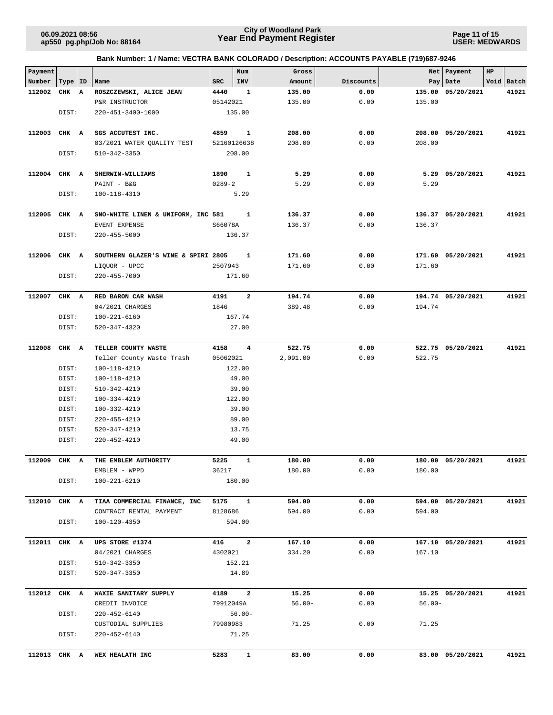**Page 11 of 15 USER: MEDWARDS**

|  | Bank Number: 1 / Name: VECTRA BANK COLORADO / Description: ACCOUNTS PAYABLE (719)687-9246 |  |
|--|-------------------------------------------------------------------------------------------|--|
|  |                                                                                           |  |

| Payment      |           |                                     |                 | Num                     | Gross     |           |           | Net   Payment     | $_{\rm HP}$ |            |
|--------------|-----------|-------------------------------------|-----------------|-------------------------|-----------|-----------|-----------|-------------------|-------------|------------|
| Number       | Type   ID | Name                                | SRC             | INV                     | Amount    | Discounts |           | Pay   Date        |             | Void Batch |
| 112002       | CHK A     | ROSZCZEWSKI, ALICE JEAN             | 4440            | 1                       | 135.00    | 0.00      | 135.00    | 05/20/2021        |             | 41921      |
|              |           | P&R INSTRUCTOR                      | 05142021        |                         | 135.00    | 0.00      | 135.00    |                   |             |            |
|              | DIST:     | 220-451-3400-1000                   |                 | 135.00                  |           |           |           |                   |             |            |
|              |           |                                     |                 |                         |           |           |           |                   |             |            |
| 112003       | CHK A     | SGS ACCUTEST INC.                   | 4859            | $\mathbf{1}$            | 208.00    | 0.00      | 208.00    | 05/20/2021        |             | 41921      |
|              |           | 03/2021 WATER QUALITY TEST          | 52160126638     |                         | 208.00    | 0.00      | 208.00    |                   |             |            |
|              | DIST:     | 510-342-3350                        |                 | 208.00                  |           |           |           |                   |             |            |
|              |           |                                     |                 |                         |           |           |           |                   |             |            |
| 112004       | CHK A     | SHERWIN-WILLIAMS                    | 1890            | 1                       | 5.29      | 0.00      | 5.29      | 05/20/2021        |             | 41921      |
|              |           | PAINT - B&G                         | $0289 - 2$      |                         | 5.29      | 0.00      | 5.29      |                   |             |            |
|              | DIST:     | 100-118-4310                        |                 | 5.29                    |           |           |           |                   |             |            |
|              |           |                                     |                 |                         |           |           |           |                   |             |            |
| 112005       | CHK A     | SNO-WHITE LINEN & UNIFORM, INC 581  |                 | 1                       | 136.37    | 0.00      |           | 136.37 05/20/2021 |             | 41921      |
|              |           | EVENT EXPENSE                       | S66078A         |                         | 136.37    | 0.00      | 136.37    |                   |             |            |
|              | DIST:     | $220 - 455 - 5000$                  |                 | 136.37                  |           |           |           |                   |             |            |
| 112006       | CHK A     | SOUTHERN GLAZER'S WINE & SPIRI 2805 |                 | 1                       | 171.60    | 0.00      |           | 171.60 05/20/2021 |             | 41921      |
|              |           | LIQUOR - UPCC                       | 2507943         |                         | 171.60    | 0.00      | 171.60    |                   |             |            |
|              | DIST:     | $220 - 455 - 7000$                  |                 | 171.60                  |           |           |           |                   |             |            |
|              |           |                                     |                 |                         |           |           |           |                   |             |            |
| 112007       | CHK A     | RED BARON CAR WASH                  | 4191            | $\overline{a}$          | 194.74    | 0.00      |           | 194.74 05/20/2021 |             | 41921      |
|              |           | 04/2021 CHARGES                     | 1846            |                         | 389.48    | 0.00      | 194.74    |                   |             |            |
|              | DIST:     | 100-221-6160                        |                 | 167.74                  |           |           |           |                   |             |            |
|              | DIST:     | 520-347-4320                        |                 | 27.00                   |           |           |           |                   |             |            |
|              |           |                                     |                 |                         |           |           |           |                   |             |            |
| 112008       | CHK A     | TELLER COUNTY WASTE                 | 4158            | $\overline{\mathbf{4}}$ | 522.75    | 0.00      |           | 522.75 05/20/2021 |             | 41921      |
|              |           | Teller County Waste Trash           | 05062021        |                         | 2,091.00  | 0.00      | 522.75    |                   |             |            |
|              | DIST:     | 100-118-4210                        |                 | 122.00                  |           |           |           |                   |             |            |
|              | DIST:     | 100-118-4210                        |                 | 49.00                   |           |           |           |                   |             |            |
|              | DIST:     | 510-342-4210                        |                 | 39.00                   |           |           |           |                   |             |            |
|              | DIST:     | 100-334-4210                        |                 | 122.00                  |           |           |           |                   |             |            |
|              | DIST:     | 100-332-4210                        |                 | 39.00                   |           |           |           |                   |             |            |
|              | DIST:     | $220 - 455 - 4210$                  |                 | 89.00                   |           |           |           |                   |             |            |
|              | DIST:     | 520-347-4210                        |                 | 13.75                   |           |           |           |                   |             |            |
|              | DIST:     | 220-452-4210                        |                 | 49.00                   |           |           |           |                   |             |            |
|              |           |                                     |                 |                         |           |           |           |                   |             |            |
| 112009       | CHK A     | THE EMBLEM AUTHORITY                | 5225            | $\mathbf{1}$            | 180.00    | 0.00      |           | 180.00 05/20/2021 |             | 41921      |
|              |           | EMBLEM - WPPD                       | 36217           |                         | 180.00    | 0.00      | 180.00    |                   |             |            |
|              | DIST:     | 100-221-6210                        |                 | 180.00                  |           |           |           |                   |             |            |
|              |           | TIAA COMMERCIAL FINANCE, INC        |                 |                         |           |           |           |                   |             |            |
| 112010 CHK A |           |                                     | 5175<br>8128686 | $\mathbf{1}$            | 594.00    | 0.00      | 594.00    | 594.00 05/20/2021 |             | 41921      |
|              |           | CONTRACT RENTAL PAYMENT             |                 |                         | 594.00    | 0.00      |           |                   |             |            |
|              | DIST:     | 100-120-4350                        |                 | 594.00                  |           |           |           |                   |             |            |
| 112011 CHK A |           | UPS STORE #1374                     | 416 2           |                         | 167.10    | 0.00      |           | 167.10 05/20/2021 |             | 41921      |
|              |           | 04/2021 CHARGES                     | 4302021         |                         | 334.20    | 0.00      | 167.10    |                   |             |            |
|              | DIST:     | 510-342-3350                        |                 | 152.21                  |           |           |           |                   |             |            |
|              | DIST:     | 520-347-3350                        |                 | 14.89                   |           |           |           |                   |             |            |
|              |           |                                     |                 |                         |           |           |           |                   |             |            |
| 112012 CHK A |           | WAXIE SANITARY SUPPLY               | 4189            | $\overline{a}$          | 15.25     | 0.00      |           | 15.25 05/20/2021  |             | 41921      |
|              |           | CREDIT INVOICE                      | 79912049A       |                         | $56.00 -$ | 0.00      | $56.00 -$ |                   |             |            |
|              | DIST:     | $220 - 452 - 6140$                  |                 | $56.00 -$               |           |           |           |                   |             |            |
|              |           | CUSTODIAL SUPPLIES                  | 79980983        |                         | 71.25     | 0.00      | 71.25     |                   |             |            |
|              | DIST:     | 220-452-6140                        |                 | 71.25                   |           |           |           |                   |             |            |
|              |           |                                     |                 |                         |           |           |           |                   |             |            |
| 112013 CHK A |           | WEX HEALATH INC                     | 5283            | $\mathbf{1}$            | 83.00     | 0.00      |           | 83.00 05/20/2021  |             | 41921      |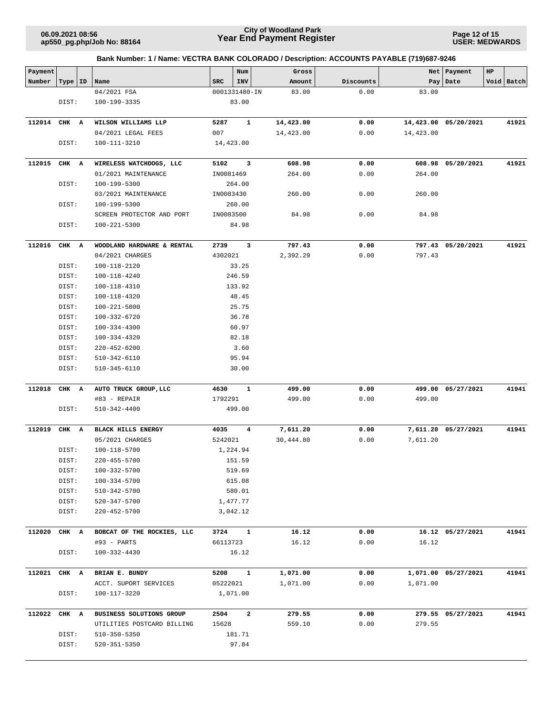**Page 12 of 15 USER: MEDWARDS**

| Payment      |           |                                            |               | Num                     | Gross     |              |           | Net   Payment        | HP |            |
|--------------|-----------|--------------------------------------------|---------------|-------------------------|-----------|--------------|-----------|----------------------|----|------------|
| Number       | Type   ID | Name                                       | <b>SRC</b>    | INV                     | Amount    | Discounts    |           | Pay   Date           |    | Void Batch |
|              |           | 04/2021 FSA                                | 0001331480-IN |                         | 83.00     | 0.00         | 83.00     |                      |    |            |
|              | DIST:     | 100-199-3335                               |               | 83.00                   |           |              |           |                      |    |            |
|              |           |                                            |               |                         |           |              |           |                      |    |            |
| 112014       | CHK A     | WILSON WILLIAMS LLP                        | 5287          | $\mathbf{1}$            | 14,423.00 | 0.00         |           | 14,423.00 05/20/2021 |    | 41921      |
|              |           | 04/2021 LEGAL FEES                         | 007           |                         | 14,423.00 | 0.00         | 14,423.00 |                      |    |            |
|              | DIST:     | 100-111-3210                               | 14,423.00     |                         |           |              |           |                      |    |            |
|              |           |                                            |               |                         |           |              |           |                      |    |            |
| 112015       | CHK A     | WIRELESS WATCHDOGS, LLC                    | 5102          | $\overline{\mathbf{3}}$ | 608.98    | 0.00         |           | 608.98 05/20/2021    |    | 41921      |
|              |           | 01/2021 MAINTENANCE                        | IN0081469     |                         | 264.00    | 0.00         | 264.00    |                      |    |            |
|              | DIST:     | 100-199-5300<br>03/2021 MAINTENANCE        | IN0083430     | 264.00                  | 260.00    | 0.00         | 260.00    |                      |    |            |
|              | DIST:     | 100-199-5300                               |               | 260.00                  |           |              |           |                      |    |            |
|              |           | SCREEN PROTECTOR AND PORT                  | IN0083500     |                         | 84.98     | 0.00         | 84.98     |                      |    |            |
|              | DIST:     | $100 - 221 - 5300$                         |               | 84.98                   |           |              |           |                      |    |            |
|              |           |                                            |               |                         |           |              |           |                      |    |            |
| 112016       | CHK A     | WOODLAND HARDWARE & RENTAL                 | 2739 3        |                         | 797.43    | 0.00         |           | 797.43 05/20/2021    |    | 41921      |
|              |           | 04/2021 CHARGES                            | 4302021       |                         | 2,392.29  | 0.00         | 797.43    |                      |    |            |
|              | DIST:     | 100-118-2120                               |               | 33.25                   |           |              |           |                      |    |            |
|              | DIST:     | 100-118-4240                               |               | 246.59                  |           |              |           |                      |    |            |
|              | DIST:     | 100-118-4310                               |               | 133.92                  |           |              |           |                      |    |            |
|              | DIST:     | 100-118-4320                               |               | 48.45                   |           |              |           |                      |    |            |
|              | DIST:     | 100-221-5800                               |               | 25.75                   |           |              |           |                      |    |            |
|              | DIST:     | 100-332-6720                               |               | 36.78                   |           |              |           |                      |    |            |
|              | DIST:     | 100-334-4300                               |               | 60.97                   |           |              |           |                      |    |            |
|              | DIST:     | 100-334-4320                               |               | 82.18                   |           |              |           |                      |    |            |
|              | DIST:     | $220 - 452 - 6200$                         |               | 3.60                    |           |              |           |                      |    |            |
|              | DIST:     | 510-342-6110                               |               | 95.94                   |           |              |           |                      |    |            |
|              | DIST:     | 510-345-6110                               |               | 30.00                   |           |              |           |                      |    |            |
| 112018       | CHK A     | AUTO TRUCK GROUP, LLC                      | 4630          | $\mathbf{1}$            | 499.00    | 0.00         |           | 499.00 05/27/2021    |    | 41941      |
|              |           | #83 - REPAIR                               | 1792291       |                         | 499.00    | 0.00         | 499.00    |                      |    |            |
|              | DIST:     | 510-342-4400                               |               | 499.00                  |           |              |           |                      |    |            |
|              |           |                                            |               |                         |           |              |           |                      |    |            |
| 112019       | CHK A     | <b>BLACK HILLS ENERGY</b>                  | 4035          | $\overline{4}$          | 7,611.20  | 0.00         |           | 7,611.20 05/27/2021  |    | 41941      |
|              | DIST:     | 05/2021 CHARGES<br>100-118-5700            | 5242021       | 1,224.94                | 30,444.80 | 0.00         | 7,611.20  |                      |    |            |
|              | DIST:     | 220-455-5700                               |               | 151.59                  |           |              |           |                      |    |            |
|              | DIST:     | 100-332-5700                               |               | 519.69                  |           |              |           |                      |    |            |
|              | DIST:     | 100-334-5700                               |               | 615.08                  |           |              |           |                      |    |            |
|              | DIST:     | 510-342-5700                               |               | 580.01                  |           |              |           |                      |    |            |
|              | DIST:     | 520-347-5700                               |               | 1,477.77                |           |              |           |                      |    |            |
|              | DIST:     | 220-452-5700                               |               | 3,042.12                |           |              |           |                      |    |            |
|              |           |                                            |               |                         |           |              |           |                      |    |            |
| 112020       | CHK A     | BOBCAT OF THE ROCKIES, LLC                 | 3724          | 1                       | 16.12     | 0.00         |           | 16.12 05/27/2021     |    | 41941      |
|              |           | #93 - PARTS                                | 66113723      |                         | 16.12     | 0.00         | 16.12     |                      |    |            |
|              | DIST:     | 100-332-4430                               |               | 16.12                   |           |              |           |                      |    |            |
| 112021 CHK A |           | BRIAN E. BUNDY                             | 5208          | $\mathbf{1}$            | 1,071.00  | 0.00         |           | 1,071.00 05/27/2021  |    | 41941      |
|              |           | ACCT. SUPORT SERVICES                      | 05222021      |                         | 1,071.00  | 0.00         | 1,071.00  |                      |    |            |
|              | DIST:     | 100-117-3220                               |               | 1,071.00                |           |              |           |                      |    |            |
|              |           |                                            |               |                         |           |              |           |                      |    |            |
| 112022       | CHK A     | BUSINESS SOLUTIONS GROUP                   | 2504          | $\overline{a}$          | 279.55    | 0.00<br>0.00 | 279.55    | 279.55 05/27/2021    |    | 41941      |
|              | DIST:     | UTILITIES POSTCARD BILLING<br>510-350-5350 | 15628         | 181.71                  | 559.10    |              |           |                      |    |            |
|              | DIST:     | 520-351-5350                               |               | 97.84                   |           |              |           |                      |    |            |
|              |           |                                            |               |                         |           |              |           |                      |    |            |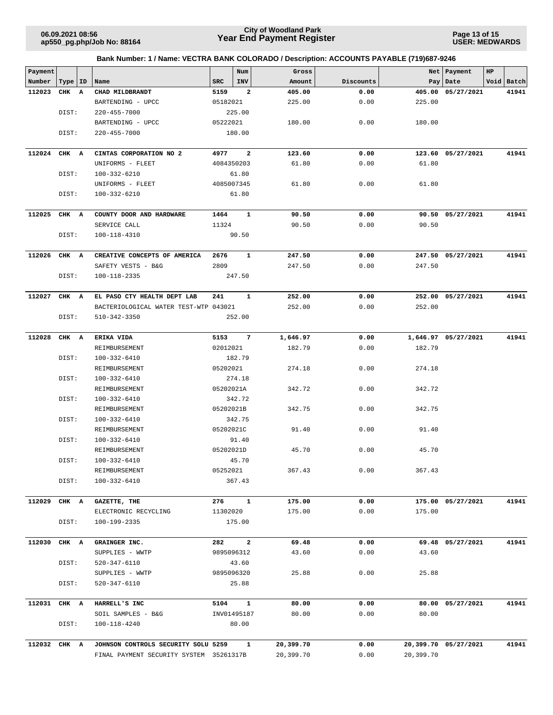**Page 13 of 15 USER: MEDWARDS**

| Payment      |           |                                         |             | Num             | Gross     |           | <b>Net</b> | Payment              | HP |            |
|--------------|-----------|-----------------------------------------|-------------|-----------------|-----------|-----------|------------|----------------------|----|------------|
| Number       | Type   ID | Name                                    | SRC         | INV             | Amount    | Discounts |            | Pay   Date           |    | Void Batch |
| 112023       | CHK A     | CHAD MILDBRANDT                         | 5159        | $\mathbf{2}$    | 405.00    | 0.00      |            | 405.00 05/27/2021    |    | 41941      |
|              |           | BARTENDING - UPCC                       | 05182021    |                 | 225.00    | 0.00      | 225.00     |                      |    |            |
|              | DIST:     | 220-455-7000                            |             | 225.00          |           |           |            |                      |    |            |
|              |           | BARTENDING - UPCC                       | 05222021    |                 | 180.00    | 0.00      | 180.00     |                      |    |            |
|              | DIST:     | 220-455-7000                            |             | 180.00          |           |           |            |                      |    |            |
| 112024       | CHK A     | CINTAS CORPORATION NO 2                 | 4977        | $\overline{a}$  | 123.60    | 0.00      |            | 123.60 05/27/2021    |    | 41941      |
|              |           | UNIFORMS - FLEET                        | 4084350203  |                 | 61.80     | 0.00      | 61.80      |                      |    |            |
|              | DIST:     | $100 - 332 - 6210$                      |             | 61.80           |           |           |            |                      |    |            |
|              |           | UNIFORMS - FLEET                        | 4085007345  |                 | 61.80     | 0.00      | 61.80      |                      |    |            |
|              | DIST:     | 100-332-6210                            |             | 61.80           |           |           |            |                      |    |            |
| 112025       | CHK A     | COUNTY DOOR AND HARDWARE                | 1464        | $\mathbf{1}$    | 90.50     | 0.00      |            | 90.50 05/27/2021     |    | 41941      |
|              |           | SERVICE CALL                            | 11324       |                 | 90.50     | 0.00      | 90.50      |                      |    |            |
|              | DIST:     | 100-118-4310                            |             | 90.50           |           |           |            |                      |    |            |
| 112026       | CHK A     | CREATIVE CONCEPTS OF AMERICA            | 2676        | 1               | 247.50    | 0.00      |            | 247.50 05/27/2021    |    | 41941      |
|              |           | SAFETY VESTS - B&G                      | 2809        |                 | 247.50    | 0.00      | 247.50     |                      |    |            |
|              | DIST:     | 100-118-2335                            |             | 247.50          |           |           |            |                      |    |            |
| 112027       | CHK A     | EL PASO CTY HEALTH DEPT LAB             | 241         | $\mathbf{1}$    | 252.00    | 0.00      |            | 252.00 05/27/2021    |    | 41941      |
|              |           | BACTERIOLOGICAL WATER TEST-WTP 043021   |             |                 | 252.00    | 0.00      | 252.00     |                      |    |            |
|              | DIST:     | 510-342-3350                            |             | 252.00          |           |           |            |                      |    |            |
| 112028       | CHK A     | ERIKA VIDA                              | 5153        | $7\overline{ }$ | 1,646.97  | 0.00      |            | 1,646.97 05/27/2021  |    | 41941      |
|              |           | REIMBURSEMENT                           | 02012021    |                 | 182.79    | 0.00      | 182.79     |                      |    |            |
|              | DIST:     | 100-332-6410                            |             | 182.79          |           |           |            |                      |    |            |
|              |           | REIMBURSEMENT                           | 05202021    |                 | 274.18    | 0.00      | 274.18     |                      |    |            |
|              | DIST:     | 100-332-6410                            |             | 274.18          |           |           |            |                      |    |            |
|              |           | REIMBURSEMENT                           | 05202021A   |                 | 342.72    | 0.00      | 342.72     |                      |    |            |
|              | DIST:     | 100-332-6410                            |             | 342.72          |           |           |            |                      |    |            |
|              |           | REIMBURSEMENT                           | 05202021B   |                 | 342.75    | 0.00      | 342.75     |                      |    |            |
|              | DIST:     | 100-332-6410                            |             | 342.75          |           |           |            |                      |    |            |
|              |           | REIMBURSEMENT                           | 05202021C   |                 | 91.40     | 0.00      | 91.40      |                      |    |            |
|              | DIST:     | 100-332-6410                            |             | 91.40           |           |           |            |                      |    |            |
|              |           | REIMBURSEMENT<br>100-332-6410           | 05202021D   | 45.70           | 45.70     | 0.00      | 45.70      |                      |    |            |
|              | DIST:     | REIMBURSEMENT                           | 05252021    |                 | 367.43    | 0.00      | 367.43     |                      |    |            |
|              | DIST:     | 100-332-6410                            |             | 367.43          |           |           |            |                      |    |            |
|              |           |                                         |             |                 |           |           |            |                      |    |            |
| 112029       | CHK A     | GAZETTE, THE                            | 276         | $\mathbf{1}$    | 175.00    | 0.00      |            | 175.00 05/27/2021    |    | 41941      |
|              |           | ELECTRONIC RECYCLING                    | 11302020    |                 | 175.00    | 0.00      | 175.00     |                      |    |            |
|              | DIST:     | 100-199-2335                            |             | 175.00          |           |           |            |                      |    |            |
| 112030       | CHK A     | GRAINGER INC.                           | 282         | $\overline{a}$  | 69.48     | 0.00      |            | 69.48 05/27/2021     |    | 41941      |
|              |           | SUPPLIES - WWTP                         | 9895096312  |                 | 43.60     | 0.00      | 43.60      |                      |    |            |
|              | DIST:     | 520-347-6110                            |             | 43.60           |           |           |            |                      |    |            |
|              |           | SUPPLIES - WWTP                         | 9895096320  |                 | 25.88     | 0.00      | 25.88      |                      |    |            |
|              | DIST:     | 520-347-6110                            |             | 25.88           |           |           |            |                      |    |            |
| 112031       | CHK A     | HARRELL'S INC                           | 5104        | $\mathbf{1}$    | 80.00     | 0.00      |            | 80.00 05/27/2021     |    | 41941      |
|              |           | SOIL SAMPLES - B&G                      | INV01495187 |                 | 80.00     | 0.00      | 80.00      |                      |    |            |
|              | DIST:     | 100-118-4240                            |             | 80.00           |           |           |            |                      |    |            |
| 112032 CHK A |           | JOHNSON CONTROLS SECURITY SOLU 5259     |             | $\mathbf{1}$    | 20,399.70 | 0.00      |            | 20,399.70 05/27/2021 |    | 41941      |
|              |           | FINAL PAYMENT SECURITY SYSTEM 35261317B |             |                 | 20,399.70 | 0.00      | 20,399.70  |                      |    |            |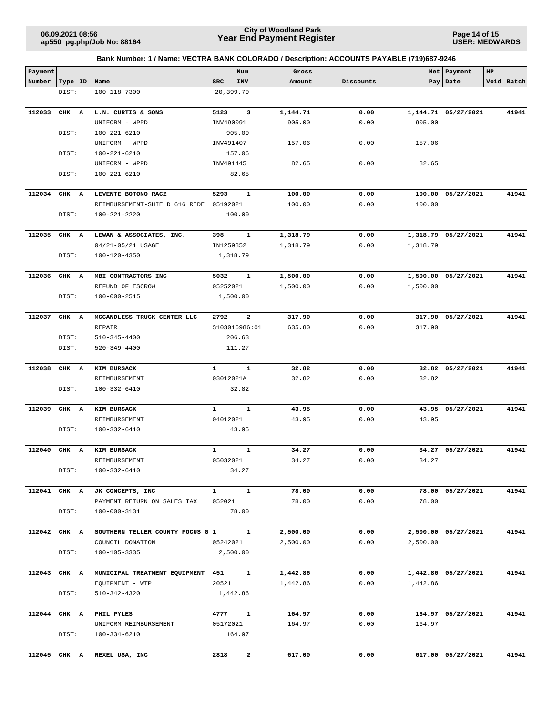**Page 14 of 15 USER: MEDWARDS**

| Payment      |       |    |                                   |              | Num                     | Gross    |           |          | Net   Payment       | $_{\rm HP}$ |            |
|--------------|-------|----|-----------------------------------|--------------|-------------------------|----------|-----------|----------|---------------------|-------------|------------|
| Number       | Type  | ID | Name                              | <b>SRC</b>   | INV                     | Amount   | Discounts |          | Pay   Date          |             | Void Batch |
|              | DIST: |    | 100-118-7300                      |              | 20,399.70               |          |           |          |                     |             |            |
|              |       |    |                                   |              |                         |          |           |          |                     |             |            |
| 112033       | CHK A |    | L.N. CURTIS & SONS                | 5123         | 3                       | 1,144.71 | 0.00      |          | 1,144.71 05/27/2021 |             | 41941      |
|              |       |    | UNIFORM - WPPD                    | INV490091    |                         | 905.00   | 0.00      | 905.00   |                     |             |            |
|              | DIST: |    | $100 - 221 - 6210$                |              | 905.00                  |          |           |          |                     |             |            |
|              |       |    | UNIFORM - WPPD                    | INV491407    |                         | 157.06   | 0.00      | 157.06   |                     |             |            |
|              | DIST: |    | 100-221-6210                      |              | 157.06                  |          |           |          |                     |             |            |
|              |       |    | UNIFORM - WPPD                    | INV491445    |                         | 82.65    | 0.00      | 82.65    |                     |             |            |
|              | DIST: |    | 100-221-6210                      |              | 82.65                   |          |           |          |                     |             |            |
| 112034       | CHK A |    | LEVENTE BOTONO RACZ               | 5293         | $\mathbf{1}$            | 100.00   | 0.00      |          | 100.00 05/27/2021   |             | 41941      |
|              |       |    | REIMBURSEMENT-SHIELD 616 RIDE     | 05192021     |                         | 100.00   | 0.00      | 100.00   |                     |             |            |
|              | DIST: |    | 100-221-2220                      |              | 100.00                  |          |           |          |                     |             |            |
| 112035       | CHK A |    | LEWAN & ASSOCIATES, INC.          | 398          | 1                       | 1,318.79 | 0.00      |          | 1,318.79 05/27/2021 |             | 41941      |
|              |       |    | 04/21-05/21 USAGE                 | IN1259852    |                         | 1,318.79 | 0.00      | 1,318.79 |                     |             |            |
|              | DIST: |    | 100-120-4350                      |              | 1,318.79                |          |           |          |                     |             |            |
|              |       |    |                                   |              |                         |          |           |          |                     |             |            |
| 112036       | CHK A |    | MBI CONTRACTORS INC               | 5032         | $\mathbf{1}$            | 1,500.00 | 0.00      |          | 1,500.00 05/27/2021 |             | 41941      |
|              |       |    | REFUND OF ESCROW                  | 05252021     |                         | 1,500.00 | 0.00      | 1,500.00 |                     |             |            |
|              | DIST: |    | 100-000-2515                      |              | 1,500.00                |          |           |          |                     |             |            |
|              |       |    |                                   |              |                         |          |           |          |                     |             |            |
| 112037       | CHK A |    | MCCANDLESS TRUCK CENTER LLC       | 2792         | $\overline{\mathbf{2}}$ | 317.90   | 0.00      |          | 317.90 05/27/2021   |             | 41941      |
|              |       |    | REPAIR                            |              | S103016986:01           | 635.80   | 0.00      | 317.90   |                     |             |            |
|              | DIST: |    | $510 - 345 - 4400$                |              | 206.63                  |          |           |          |                     |             |            |
|              | DIST: |    | $520 - 349 - 4400$                |              | 111.27                  |          |           |          |                     |             |            |
| 112038       | CHK   | A  | KIM BURSACK                       | $\mathbf{1}$ | $\mathbf{1}$            | 32.82    | 0.00      |          | 32.82 05/27/2021    |             | 41941      |
|              |       |    | REIMBURSEMENT                     | 03012021A    |                         | 32.82    | 0.00      | 32.82    |                     |             |            |
|              | DIST: |    | 100-332-6410                      |              | 32.82                   |          |           |          |                     |             |            |
| 112039       | CHK A |    | KIM BURSACK                       | 1            | $\mathbf{1}$            | 43.95    | 0.00      |          | 43.95 05/27/2021    |             | 41941      |
|              |       |    | REIMBURSEMENT                     | 04012021     |                         | 43.95    | 0.00      | 43.95    |                     |             |            |
|              | DIST: |    | 100-332-6410                      |              | 43.95                   |          |           |          |                     |             |            |
| 112040       | CHK A |    | KIM BURSACK                       | $\mathbf{1}$ | $\mathbf{1}$            | 34.27    | 0.00      |          | 34.27 05/27/2021    |             | 41941      |
|              |       |    | REIMBURSEMENT                     | 05032021     |                         | 34.27    | 0.00      | 34.27    |                     |             |            |
|              | DIST: |    | 100-332-6410                      |              | 34.27                   |          |           |          |                     |             |            |
|              |       |    |                                   |              |                         |          |           |          |                     |             |            |
| 112041 CHK A |       |    | JK CONCEPTS, INC                  | $\mathbf{1}$ | $\mathbf{1}$            | 78.00    | 0.00      |          | 78.00 05/27/2021    |             | 41941      |
|              |       |    | PAYMENT RETURN ON SALES TAX       | 052021       |                         | 78.00    | 0.00      | 78.00    |                     |             |            |
|              | DIST: |    | 100-000-3131                      |              | 78.00                   |          |           |          |                     |             |            |
| 112042 CHK A |       |    | SOUTHERN TELLER COUNTY FOCUS G 1  |              | $\mathbf{1}$            | 2,500.00 | 0.00      |          | 2,500.00 05/27/2021 |             | 41941      |
|              |       |    | COUNCIL DONATION                  | 05242021     |                         | 2,500.00 | 0.00      | 2,500.00 |                     |             |            |
|              | DIST: |    | 100-105-3335                      |              | 2,500.00                |          |           |          |                     |             |            |
| 112043 CHK A |       |    | MUNICIPAL TREATMENT EQUIPMENT 451 |              | $\mathbf{1}$            | 1,442.86 | 0.00      |          | 1,442.86 05/27/2021 |             | 41941      |
|              |       |    | EQUIPMENT - WTP                   | 20521        |                         | 1,442.86 | 0.00      | 1,442.86 |                     |             |            |
|              | DIST: |    | 510-342-4320                      |              | 1,442.86                |          |           |          |                     |             |            |
| 112044 CHK A |       |    | PHIL PYLES                        | 4777         | $\mathbf{1}$            | 164.97   | 0.00      |          | 164.97 05/27/2021   |             | 41941      |
|              |       |    | UNIFORM REIMBURSEMENT             | 05172021     |                         | 164.97   | 0.00      | 164.97   |                     |             |            |
|              | DIST: |    | 100-334-6210                      |              | 164.97                  |          |           |          |                     |             |            |
|              |       |    |                                   |              |                         |          |           |          |                     |             |            |
| 112045 CHK A |       |    | REXEL USA, INC                    | 2818         | $\mathbf{2}$            | 617.00   | 0.00      |          | 617.00 05/27/2021   |             | 41941      |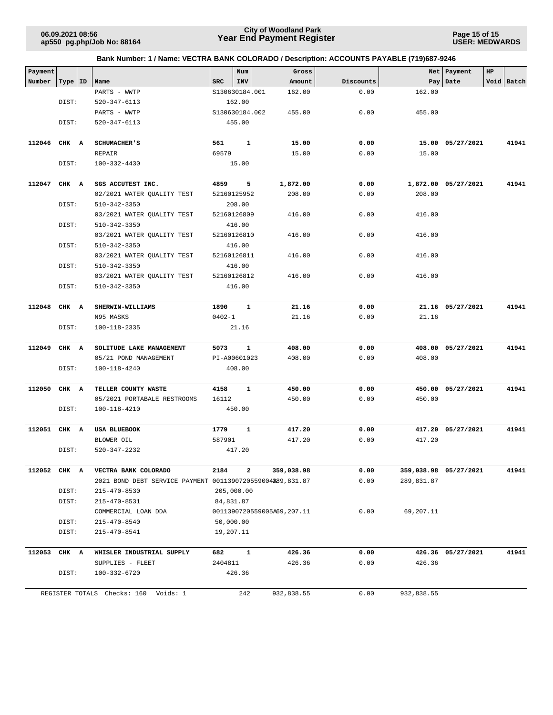**Page 15 of 15 USER: MEDWARDS**

| Payment |              |                                                           |            | Num            | Gross                      |           | Net        | Payment               | HP |            |
|---------|--------------|-----------------------------------------------------------|------------|----------------|----------------------------|-----------|------------|-----------------------|----|------------|
| Number  | Type   ID    | Name                                                      | <b>SRC</b> | <b>INV</b>     | Amount                     | Discounts | Pay        | Date                  |    | Void Batch |
|         |              | PARTS - WWTP                                              |            | S130630184.001 | 162.00                     | 0.00      | 162.00     |                       |    |            |
|         | DIST:        | 520-347-6113                                              |            | 162.00         |                            |           |            |                       |    |            |
|         |              | PARTS - WWTP                                              |            | S130630184.002 | 455.00                     | 0.00      | 455.00     |                       |    |            |
|         | DIST:        | 520-347-6113                                              |            | 455.00         |                            |           |            |                       |    |            |
| 112046  | CHK A        | <b>SCHUMACHER'S</b>                                       | 561        | $\mathbf{1}$   | 15.00                      | 0.00      |            | 15.00 05/27/2021      |    | 41941      |
|         |              | REPAIR                                                    | 69579      |                | 15.00                      | 0.00      | 15.00      |                       |    |            |
|         | DIST:        | 100-332-4430                                              |            | 15.00          |                            |           |            |                       |    |            |
| 112047  | CHK A        | SGS ACCUTEST INC.                                         | 4859       | 5              | 1,872.00                   | 0.00      |            | 1,872.00 05/27/2021   |    | 41941      |
|         |              | 02/2021 WATER QUALITY TEST                                |            | 52160125952    | 208.00                     | 0.00      | 208.00     |                       |    |            |
|         | DIST:        | 510-342-3350                                              |            | 208.00         |                            |           |            |                       |    |            |
|         |              | 03/2021 WATER QUALITY TEST                                |            | 52160126809    | 416.00                     | 0.00      | 416.00     |                       |    |            |
|         | DIST:        | 510-342-3350                                              |            | 416.00         |                            |           |            |                       |    |            |
|         |              | 03/2021 WATER QUALITY TEST                                |            | 52160126810    | 416.00                     | 0.00      | 416.00     |                       |    |            |
|         | DIST:        | 510-342-3350                                              |            | 416.00         |                            |           |            |                       |    |            |
|         |              | 03/2021 WATER QUALITY TEST                                |            | 52160126811    | 416.00                     | 0.00      | 416.00     |                       |    |            |
|         | DIST:        | 510-342-3350                                              |            | 416.00         |                            |           |            |                       |    |            |
|         |              | 03/2021 WATER QUALITY TEST                                |            | 52160126812    | 416.00                     | 0.00      | 416.00     |                       |    |            |
|         | DIST:        | $510 - 342 - 3350$                                        |            | 416.00         |                            |           |            |                       |    |            |
|         |              |                                                           |            |                |                            |           |            |                       |    |            |
| 112048  | CHK A        | SHERWIN-WILLIAMS                                          | 1890       | 1              | 21.16                      | 0.00      |            | 21.16 05/27/2021      |    | 41941      |
|         |              | N95 MASKS                                                 | $0402 - 1$ |                | 21.16                      | 0.00      | 21.16      |                       |    |            |
|         | DIST:        | 100-118-2335                                              |            | 21.16          |                            |           |            |                       |    |            |
| 112049  | CHK A        | SOLITUDE LAKE MANAGEMENT                                  | 5073       | $\mathbf{1}$   | 408.00                     | 0.00      |            | 408.00 05/27/2021     |    | 41941      |
|         |              | 05/21 POND MANAGEMENT                                     |            | PI-A00601023   | 408.00                     | 0.00      | 408.00     |                       |    |            |
|         | DIST:        | 100-118-4240                                              |            | 408.00         |                            |           |            |                       |    |            |
| 112050  | CHK A        | TELLER COUNTY WASTE                                       | 4158       | 1              | 450.00                     | 0.00      |            | 450.00 05/27/2021     |    | 41941      |
|         |              | 05/2021 PORTABALE RESTROOMS                               | 16112      |                | 450.00                     | 0.00      | 450.00     |                       |    |            |
|         | DIST:        | 100-118-4210                                              |            | 450.00         |                            |           |            |                       |    |            |
|         |              |                                                           |            |                |                            |           |            |                       |    |            |
| 112051  | CHK A        | <b>USA BLUEBOOK</b>                                       | 1779       | $\mathbf{1}$   | 417.20                     | 0.00      |            | 417.20 05/27/2021     |    | 41941      |
|         |              | BLOWER OIL                                                | 587901     |                | 417.20                     | 0.00      | 417.20     |                       |    |            |
|         | DIST:        | 520-347-2232                                              |            | 417.20         |                            |           |            |                       |    |            |
|         | 112052 CHK A | VECTRA BANK COLORADO                                      | 2184       | $\mathbf{2}$   | 359,038.98                 | 0.00      |            | 359,038.98 05/27/2021 |    | 41941      |
|         |              | 2021 BOND DEBT SERVICE PAYMENT 0011390720559004289,831.87 |            |                |                            | 0.00      | 289,831.87 |                       |    |            |
|         | DIST:        | 215-470-8530                                              |            | 205,000.00     |                            |           |            |                       |    |            |
|         | DIST:        | 215-470-8531                                              |            | 84,831.87      |                            |           |            |                       |    |            |
|         |              | COMMERCIAL LOAN DDA                                       |            |                | 0011390720559005A69,207.11 | 0.00      | 69,207.11  |                       |    |            |
|         | DIST:        | 215-470-8540                                              |            | 50,000.00      |                            |           |            |                       |    |            |
|         | DIST:        | 215-470-8541                                              |            | 19,207.11      |                            |           |            |                       |    |            |
|         |              |                                                           |            |                |                            |           |            |                       |    |            |
|         | 112053 CHK A | WHISLER INDUSTRIAL SUPPLY                                 | 682        | $\mathbf{1}$   | 426.36                     | 0.00      |            | 426.36 05/27/2021     |    | 41941      |
|         |              | SUPPLIES - FLEET                                          | 2404811    |                | 426.36                     | 0.00      | 426.36     |                       |    |            |
|         | DIST:        | 100-332-6720                                              |            | 426.36         |                            |           |            |                       |    |            |
|         |              | REGISTER TOTALS Checks: 160 Voids: 1                      |            | 242            | 932,838.55                 | 0.00      | 932,838.55 |                       |    |            |
|         |              |                                                           |            |                |                            |           |            |                       |    |            |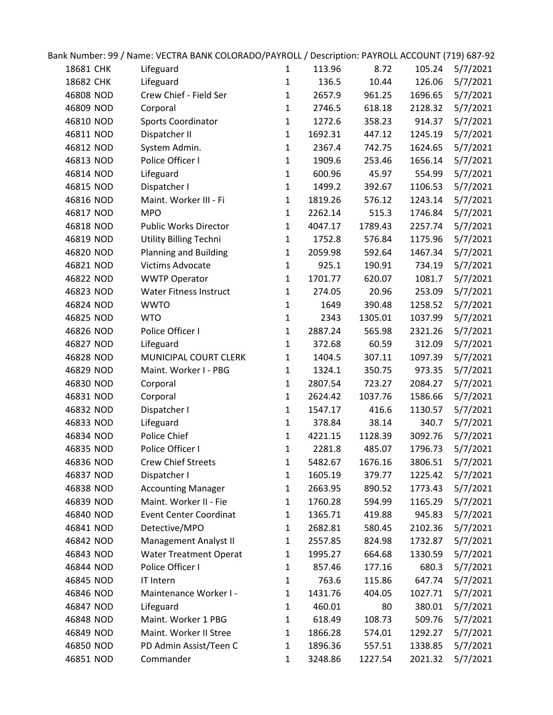|           | Bank Number: 99 / Name: VECTRA BANK COLORADO/PAYROLL / Description: PAYROLL ACCOUNT (719) 687-92 |              |         |         |         |          |
|-----------|--------------------------------------------------------------------------------------------------|--------------|---------|---------|---------|----------|
| 18681 CHK | Lifeguard                                                                                        | $\mathbf{1}$ | 113.96  | 8.72    | 105.24  | 5/7/2021 |
| 18682 CHK | Lifeguard                                                                                        | $\mathbf{1}$ | 136.5   | 10.44   | 126.06  | 5/7/2021 |
| 46808 NOD | Crew Chief - Field Ser                                                                           | 1            | 2657.9  | 961.25  | 1696.65 | 5/7/2021 |
| 46809 NOD | Corporal                                                                                         | $\mathbf{1}$ | 2746.5  | 618.18  | 2128.32 | 5/7/2021 |
| 46810 NOD | Sports Coordinator                                                                               | $\mathbf{1}$ | 1272.6  | 358.23  | 914.37  | 5/7/2021 |
| 46811 NOD | Dispatcher II                                                                                    | $\mathbf{1}$ | 1692.31 | 447.12  | 1245.19 | 5/7/2021 |
| 46812 NOD | System Admin.                                                                                    | $\mathbf{1}$ | 2367.4  | 742.75  | 1624.65 | 5/7/2021 |
| 46813 NOD | Police Officer I                                                                                 | 1            | 1909.6  | 253.46  | 1656.14 | 5/7/2021 |
| 46814 NOD | Lifeguard                                                                                        | $\mathbf{1}$ | 600.96  | 45.97   | 554.99  | 5/7/2021 |
| 46815 NOD | Dispatcher I                                                                                     | $\mathbf{1}$ | 1499.2  | 392.67  | 1106.53 | 5/7/2021 |
| 46816 NOD | Maint. Worker III - Fi                                                                           | $\mathbf{1}$ | 1819.26 | 576.12  | 1243.14 | 5/7/2021 |
| 46817 NOD | <b>MPO</b>                                                                                       | $\mathbf{1}$ | 2262.14 | 515.3   | 1746.84 | 5/7/2021 |
| 46818 NOD | <b>Public Works Director</b>                                                                     | $\mathbf{1}$ | 4047.17 | 1789.43 | 2257.74 | 5/7/2021 |
| 46819 NOD | <b>Utility Billing Techni</b>                                                                    | $\mathbf{1}$ | 1752.8  | 576.84  | 1175.96 | 5/7/2021 |
| 46820 NOD | <b>Planning and Building</b>                                                                     | $\mathbf{1}$ | 2059.98 | 592.64  | 1467.34 | 5/7/2021 |
| 46821 NOD | <b>Victims Advocate</b>                                                                          | $\mathbf{1}$ | 925.1   | 190.91  | 734.19  | 5/7/2021 |
| 46822 NOD | <b>WWTP Operator</b>                                                                             | $\mathbf{1}$ | 1701.77 | 620.07  | 1081.7  | 5/7/2021 |
| 46823 NOD | <b>Water Fitness Instruct</b>                                                                    | $\mathbf{1}$ | 274.05  | 20.96   | 253.09  | 5/7/2021 |
| 46824 NOD | <b>WWTO</b>                                                                                      | $\mathbf{1}$ | 1649    | 390.48  | 1258.52 | 5/7/2021 |
| 46825 NOD | <b>WTO</b>                                                                                       | $\mathbf{1}$ | 2343    | 1305.01 | 1037.99 | 5/7/2021 |
| 46826 NOD | Police Officer I                                                                                 | $\mathbf{1}$ | 2887.24 | 565.98  | 2321.26 | 5/7/2021 |
| 46827 NOD | Lifeguard                                                                                        | $\mathbf{1}$ | 372.68  | 60.59   | 312.09  | 5/7/2021 |
| 46828 NOD | MUNICIPAL COURT CLERK                                                                            | $\mathbf{1}$ | 1404.5  | 307.11  | 1097.39 | 5/7/2021 |
| 46829 NOD | Maint. Worker I - PBG                                                                            | $\mathbf{1}$ | 1324.1  | 350.75  | 973.35  | 5/7/2021 |
| 46830 NOD | Corporal                                                                                         | 1            | 2807.54 | 723.27  | 2084.27 | 5/7/2021 |
| 46831 NOD | Corporal                                                                                         | $\mathbf{1}$ | 2624.42 | 1037.76 | 1586.66 | 5/7/2021 |
| 46832 NOD | Dispatcher I                                                                                     | 1            | 1547.17 | 416.6   | 1130.57 | 5/7/2021 |
| 46833 NOD | Lifeguard                                                                                        | $\mathbf{1}$ | 378.84  | 38.14   | 340.7   | 5/7/2021 |
| 46834 NOD | Police Chief                                                                                     | $\mathbf{1}$ | 4221.15 | 1128.39 | 3092.76 | 5/7/2021 |
| 46835 NOD | Police Officer I                                                                                 | $\mathbf{1}$ | 2281.8  | 485.07  | 1796.73 | 5/7/2021 |
| 46836 NOD | <b>Crew Chief Streets</b>                                                                        | 1            | 5482.67 | 1676.16 | 3806.51 | 5/7/2021 |
| 46837 NOD | Dispatcher I                                                                                     | 1            | 1605.19 | 379.77  | 1225.42 | 5/7/2021 |
| 46838 NOD | <b>Accounting Manager</b>                                                                        | $\mathbf{1}$ | 2663.95 | 890.52  | 1773.43 | 5/7/2021 |
| 46839 NOD | Maint. Worker II - Fie                                                                           | 1            | 1760.28 | 594.99  | 1165.29 | 5/7/2021 |
| 46840 NOD | <b>Event Center Coordinat</b>                                                                    | $\mathbf{1}$ | 1365.71 | 419.88  | 945.83  | 5/7/2021 |
| 46841 NOD | Detective/MPO                                                                                    | 1            | 2682.81 | 580.45  | 2102.36 | 5/7/2021 |
| 46842 NOD | Management Analyst II                                                                            | 1            | 2557.85 | 824.98  | 1732.87 | 5/7/2021 |
| 46843 NOD | <b>Water Treatment Operat</b>                                                                    | 1            | 1995.27 | 664.68  | 1330.59 | 5/7/2021 |
| 46844 NOD | Police Officer I                                                                                 | 1            | 857.46  | 177.16  | 680.3   | 5/7/2021 |
| 46845 NOD | IT Intern                                                                                        | $\mathbf{1}$ | 763.6   | 115.86  | 647.74  | 5/7/2021 |
| 46846 NOD | Maintenance Worker I -                                                                           | 1            | 1431.76 | 404.05  | 1027.71 | 5/7/2021 |
| 46847 NOD | Lifeguard                                                                                        | 1            | 460.01  | 80      | 380.01  | 5/7/2021 |
| 46848 NOD | Maint. Worker 1 PBG                                                                              | 1            | 618.49  | 108.73  | 509.76  | 5/7/2021 |
| 46849 NOD | Maint. Worker II Stree                                                                           | 1            | 1866.28 | 574.01  | 1292.27 | 5/7/2021 |
| 46850 NOD | PD Admin Assist/Teen C                                                                           | 1            | 1896.36 | 557.51  | 1338.85 | 5/7/2021 |
| 46851 NOD | Commander                                                                                        | 1            | 3248.86 | 1227.54 | 2021.32 | 5/7/2021 |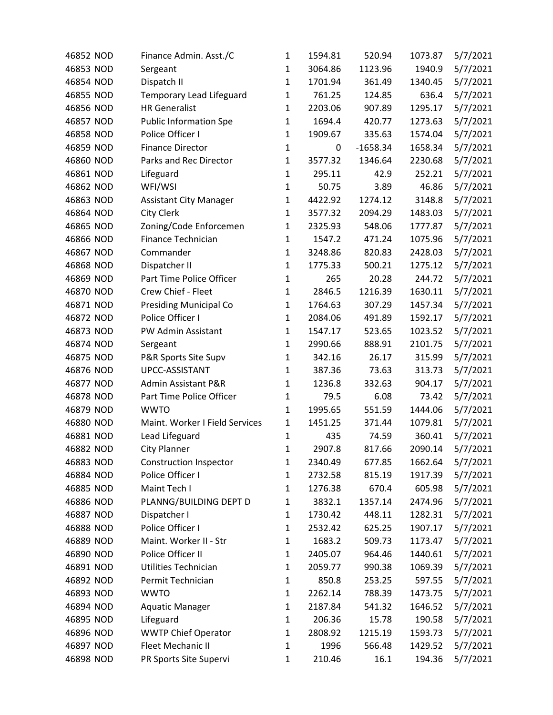| 46852 NOD | Finance Admin. Asst./C         | 1            | 1594.81 | 520.94     | 1073.87 | 5/7/2021 |
|-----------|--------------------------------|--------------|---------|------------|---------|----------|
| 46853 NOD | Sergeant                       | 1            | 3064.86 | 1123.96    | 1940.9  | 5/7/2021 |
| 46854 NOD | Dispatch II                    | $\mathbf{1}$ | 1701.94 | 361.49     | 1340.45 | 5/7/2021 |
| 46855 NOD | Temporary Lead Lifeguard       | $\mathbf 1$  | 761.25  | 124.85     | 636.4   | 5/7/2021 |
| 46856 NOD | <b>HR Generalist</b>           | $\mathbf{1}$ | 2203.06 | 907.89     | 1295.17 | 5/7/2021 |
| 46857 NOD | <b>Public Information Spe</b>  | $\mathbf{1}$ | 1694.4  | 420.77     | 1273.63 | 5/7/2021 |
| 46858 NOD | Police Officer I               | $\mathbf{1}$ | 1909.67 | 335.63     | 1574.04 | 5/7/2021 |
| 46859 NOD | <b>Finance Director</b>        | $\mathbf{1}$ | 0       | $-1658.34$ | 1658.34 | 5/7/2021 |
| 46860 NOD | Parks and Rec Director         | $\mathbf{1}$ | 3577.32 | 1346.64    | 2230.68 | 5/7/2021 |
| 46861 NOD | Lifeguard                      | $\mathbf{1}$ | 295.11  | 42.9       | 252.21  | 5/7/2021 |
| 46862 NOD | WFI/WSI                        | $\mathbf{1}$ | 50.75   | 3.89       | 46.86   | 5/7/2021 |
| 46863 NOD | <b>Assistant City Manager</b>  | $\mathbf 1$  | 4422.92 | 1274.12    | 3148.8  | 5/7/2021 |
| 46864 NOD | City Clerk                     | $\mathbf{1}$ | 3577.32 | 2094.29    | 1483.03 | 5/7/2021 |
| 46865 NOD | Zoning/Code Enforcemen         | $\mathbf{1}$ | 2325.93 | 548.06     | 1777.87 | 5/7/2021 |
| 46866 NOD | Finance Technician             | $\mathbf{1}$ | 1547.2  | 471.24     | 1075.96 | 5/7/2021 |
| 46867 NOD | Commander                      | $\mathbf{1}$ | 3248.86 | 820.83     | 2428.03 | 5/7/2021 |
| 46868 NOD | Dispatcher II                  | $\mathbf{1}$ | 1775.33 | 500.21     | 1275.12 | 5/7/2021 |
| 46869 NOD | Part Time Police Officer       | $\mathbf 1$  | 265     | 20.28      | 244.72  | 5/7/2021 |
| 46870 NOD | Crew Chief - Fleet             | $\mathbf{1}$ | 2846.5  | 1216.39    | 1630.11 | 5/7/2021 |
| 46871 NOD | <b>Presiding Municipal Co</b>  | $\mathbf{1}$ | 1764.63 | 307.29     | 1457.34 | 5/7/2021 |
| 46872 NOD | Police Officer I               | $\mathbf{1}$ | 2084.06 | 491.89     | 1592.17 | 5/7/2021 |
| 46873 NOD | PW Admin Assistant             | $\mathbf{1}$ | 1547.17 | 523.65     | 1023.52 | 5/7/2021 |
| 46874 NOD | Sergeant                       | $\mathbf{1}$ | 2990.66 | 888.91     | 2101.75 | 5/7/2021 |
| 46875 NOD | P&R Sports Site Supv           | $\mathbf{1}$ | 342.16  | 26.17      | 315.99  | 5/7/2021 |
| 46876 NOD | UPCC-ASSISTANT                 | $\mathbf{1}$ | 387.36  | 73.63      | 313.73  | 5/7/2021 |
| 46877 NOD | <b>Admin Assistant P&amp;R</b> | $\mathbf{1}$ | 1236.8  | 332.63     | 904.17  | 5/7/2021 |
| 46878 NOD | Part Time Police Officer       | $\mathbf{1}$ | 79.5    | 6.08       | 73.42   | 5/7/2021 |
| 46879 NOD | <b>WWTO</b>                    | $\mathbf{1}$ | 1995.65 | 551.59     | 1444.06 | 5/7/2021 |
| 46880 NOD | Maint. Worker I Field Services | $\mathbf{1}$ | 1451.25 | 371.44     | 1079.81 | 5/7/2021 |
| 46881 NOD | Lead Lifeguard                 | $\mathbf{1}$ | 435     | 74.59      | 360.41  | 5/7/2021 |
| 46882 NOD | <b>City Planner</b>            | $\mathbf{1}$ | 2907.8  | 817.66     | 2090.14 | 5/7/2021 |
| 46883 NOD | <b>Construction Inspector</b>  | 1            | 2340.49 | 677.85     | 1662.64 | 5/7/2021 |
| 46884 NOD | Police Officer I               | 1            | 2732.58 | 815.19     | 1917.39 | 5/7/2021 |
| 46885 NOD | Maint Tech I                   | $\mathbf{1}$ | 1276.38 | 670.4      | 605.98  | 5/7/2021 |
| 46886 NOD | PLANNG/BUILDING DEPT D         | $\mathbf{1}$ | 3832.1  | 1357.14    | 2474.96 | 5/7/2021 |
| 46887 NOD | Dispatcher I                   | $\mathbf{1}$ | 1730.42 | 448.11     | 1282.31 | 5/7/2021 |
| 46888 NOD | Police Officer I               | $\mathbf{1}$ | 2532.42 | 625.25     | 1907.17 | 5/7/2021 |
| 46889 NOD | Maint. Worker II - Str         | 1            | 1683.2  | 509.73     | 1173.47 | 5/7/2021 |
| 46890 NOD | Police Officer II              | $\mathbf{1}$ | 2405.07 | 964.46     | 1440.61 | 5/7/2021 |
| 46891 NOD | Utilities Technician           | 1            | 2059.77 | 990.38     | 1069.39 | 5/7/2021 |
| 46892 NOD | Permit Technician              | $\mathbf{1}$ | 850.8   | 253.25     | 597.55  | 5/7/2021 |
| 46893 NOD | <b>WWTO</b>                    | $\mathbf{1}$ | 2262.14 | 788.39     | 1473.75 | 5/7/2021 |
| 46894 NOD | <b>Aquatic Manager</b>         | 1            | 2187.84 | 541.32     | 1646.52 | 5/7/2021 |
| 46895 NOD | Lifeguard                      | $\mathbf{1}$ | 206.36  | 15.78      | 190.58  | 5/7/2021 |
| 46896 NOD | <b>WWTP Chief Operator</b>     | $\mathbf{1}$ | 2808.92 | 1215.19    | 1593.73 | 5/7/2021 |
| 46897 NOD | Fleet Mechanic II              | $\mathbf{1}$ | 1996    | 566.48     | 1429.52 | 5/7/2021 |
| 46898 NOD | PR Sports Site Supervi         | $\mathbf{1}$ | 210.46  | 16.1       | 194.36  | 5/7/2021 |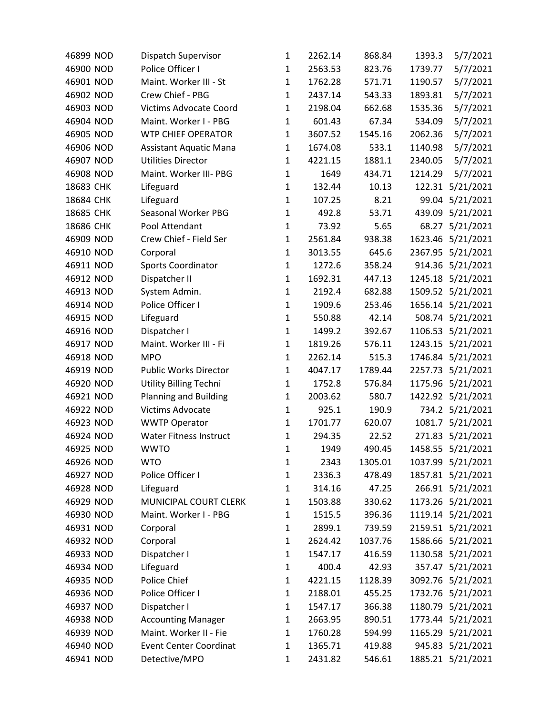| 46899 NOD | Dispatch Supervisor           | 1            | 2262.14 | 868.84  | 1393.3  | 5/7/2021          |
|-----------|-------------------------------|--------------|---------|---------|---------|-------------------|
| 46900 NOD | Police Officer I              | 1            | 2563.53 | 823.76  | 1739.77 | 5/7/2021          |
| 46901 NOD | Maint. Worker III - St        | $\mathbf{1}$ | 1762.28 | 571.71  | 1190.57 | 5/7/2021          |
| 46902 NOD | Crew Chief - PBG              | $\mathbf{1}$ | 2437.14 | 543.33  | 1893.81 | 5/7/2021          |
| 46903 NOD | <b>Victims Advocate Coord</b> | $\mathbf{1}$ | 2198.04 | 662.68  | 1535.36 | 5/7/2021          |
| 46904 NOD | Maint. Worker I - PBG         | $\mathbf{1}$ | 601.43  | 67.34   | 534.09  | 5/7/2021          |
| 46905 NOD | <b>WTP CHIEF OPERATOR</b>     | $\mathbf{1}$ | 3607.52 | 1545.16 | 2062.36 | 5/7/2021          |
| 46906 NOD | <b>Assistant Aquatic Mana</b> | $\mathbf{1}$ | 1674.08 | 533.1   | 1140.98 | 5/7/2021          |
| 46907 NOD | <b>Utilities Director</b>     | $\mathbf{1}$ | 4221.15 | 1881.1  | 2340.05 | 5/7/2021          |
| 46908 NOD | Maint. Worker III- PBG        | $\mathbf{1}$ | 1649    | 434.71  | 1214.29 | 5/7/2021          |
| 18683 CHK | Lifeguard                     | $\mathbf{1}$ | 132.44  | 10.13   | 122.31  | 5/21/2021         |
| 18684 CHK | Lifeguard                     | $\mathbf{1}$ | 107.25  | 8.21    | 99.04   | 5/21/2021         |
| 18685 CHK | Seasonal Worker PBG           | $\mathbf 1$  | 492.8   | 53.71   |         | 439.09 5/21/2021  |
| 18686 CHK | Pool Attendant                | $\mathbf{1}$ | 73.92   | 5.65    | 68.27   | 5/21/2021         |
| 46909 NOD | Crew Chief - Field Ser        | $\mathbf{1}$ | 2561.84 | 938.38  |         | 1623.46 5/21/2021 |
| 46910 NOD | Corporal                      | $\mathbf{1}$ | 3013.55 | 645.6   |         | 2367.95 5/21/2021 |
| 46911 NOD | <b>Sports Coordinator</b>     | $\mathbf{1}$ | 1272.6  | 358.24  |         | 914.36 5/21/2021  |
| 46912 NOD | Dispatcher II                 | $\mathbf{1}$ | 1692.31 | 447.13  |         | 1245.18 5/21/2021 |
| 46913 NOD | System Admin.                 | $\mathbf{1}$ | 2192.4  | 682.88  |         | 1509.52 5/21/2021 |
| 46914 NOD | Police Officer I              | $\mathbf{1}$ | 1909.6  | 253.46  |         | 1656.14 5/21/2021 |
| 46915 NOD | Lifeguard                     | $\mathbf{1}$ | 550.88  | 42.14   |         | 508.74 5/21/2021  |
| 46916 NOD | Dispatcher I                  | $\mathbf{1}$ | 1499.2  | 392.67  |         | 1106.53 5/21/2021 |
| 46917 NOD | Maint. Worker III - Fi        | $\mathbf 1$  | 1819.26 | 576.11  |         | 1243.15 5/21/2021 |
| 46918 NOD | <b>MPO</b>                    | $\mathbf{1}$ | 2262.14 | 515.3   |         | 1746.84 5/21/2021 |
| 46919 NOD | Public Works Director         | $\mathbf{1}$ | 4047.17 | 1789.44 |         | 2257.73 5/21/2021 |
| 46920 NOD | Utility Billing Techni        | $\mathbf{1}$ | 1752.8  | 576.84  |         | 1175.96 5/21/2021 |
| 46921 NOD | <b>Planning and Building</b>  | $\mathbf{1}$ | 2003.62 | 580.7   |         | 1422.92 5/21/2021 |
| 46922 NOD | Victims Advocate              | $\mathbf{1}$ | 925.1   | 190.9   |         | 734.2 5/21/2021   |
| 46923 NOD | <b>WWTP Operator</b>          | $\mathbf{1}$ | 1701.77 | 620.07  |         | 1081.7 5/21/2021  |
| 46924 NOD | <b>Water Fitness Instruct</b> | $\mathbf{1}$ | 294.35  | 22.52   |         | 271.83 5/21/2021  |
| 46925 NOD | <b>WWTO</b>                   | $\mathbf{1}$ | 1949    | 490.45  |         | 1458.55 5/21/2021 |
| 46926 NOD | <b>WTO</b>                    | $\mathbf{1}$ | 2343    | 1305.01 |         | 1037.99 5/21/2021 |
| 46927 NOD | Police Officer I              | 1            | 2336.3  | 478.49  |         | 1857.81 5/21/2021 |
| 46928 NOD | Lifeguard                     | $\mathbf{1}$ | 314.16  | 47.25   |         | 266.91 5/21/2021  |
| 46929 NOD | MUNICIPAL COURT CLERK         | $\mathbf{1}$ | 1503.88 | 330.62  |         | 1173.26 5/21/2021 |
| 46930 NOD | Maint. Worker I - PBG         | $\mathbf{1}$ | 1515.5  | 396.36  |         | 1119.14 5/21/2021 |
| 46931 NOD | Corporal                      | $\mathbf{1}$ | 2899.1  | 739.59  |         | 2159.51 5/21/2021 |
| 46932 NOD | Corporal                      | $\mathbf{1}$ | 2624.42 | 1037.76 |         | 1586.66 5/21/2021 |
| 46933 NOD | Dispatcher I                  | $\mathbf{1}$ | 1547.17 | 416.59  |         | 1130.58 5/21/2021 |
| 46934 NOD | Lifeguard                     | $\mathbf{1}$ | 400.4   | 42.93   |         | 357.47 5/21/2021  |
| 46935 NOD | Police Chief                  | $\mathbf 1$  | 4221.15 | 1128.39 |         | 3092.76 5/21/2021 |
| 46936 NOD | Police Officer I              | $\mathbf{1}$ | 2188.01 | 455.25  |         | 1732.76 5/21/2021 |
| 46937 NOD | Dispatcher I                  | 1            | 1547.17 | 366.38  |         | 1180.79 5/21/2021 |
| 46938 NOD | <b>Accounting Manager</b>     | $\mathbf{1}$ | 2663.95 | 890.51  |         | 1773.44 5/21/2021 |
| 46939 NOD | Maint. Worker II - Fie        | $\mathbf{1}$ | 1760.28 | 594.99  |         | 1165.29 5/21/2021 |
| 46940 NOD | <b>Event Center Coordinat</b> | 1            | 1365.71 | 419.88  |         | 945.83 5/21/2021  |
| 46941 NOD | Detective/MPO                 | 1            | 2431.82 | 546.61  |         | 1885.21 5/21/2021 |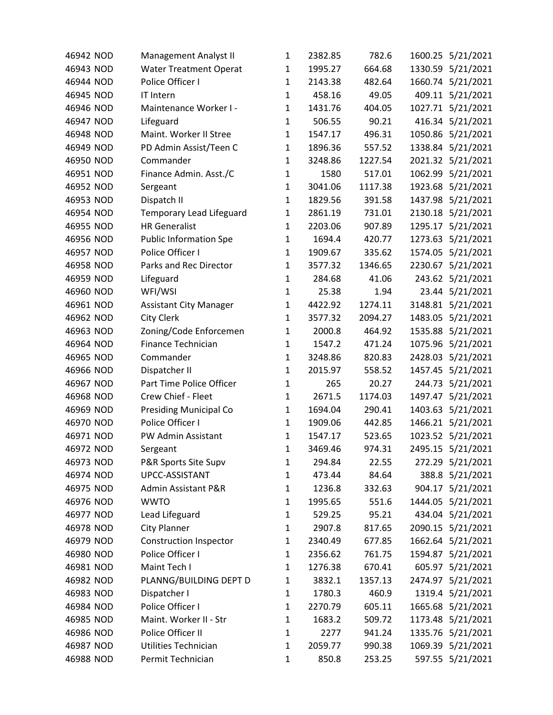| 46942 NOD | Management Analyst II         | 1            | 2382.85 | 782.6   |         | 1600.25 5/21/2021 |
|-----------|-------------------------------|--------------|---------|---------|---------|-------------------|
| 46943 NOD | <b>Water Treatment Operat</b> | 1            | 1995.27 | 664.68  |         | 1330.59 5/21/2021 |
| 46944 NOD | Police Officer I              | $\mathbf{1}$ | 2143.38 | 482.64  |         | 1660.74 5/21/2021 |
| 46945 NOD | IT Intern                     | $\mathbf{1}$ | 458.16  | 49.05   |         | 409.11 5/21/2021  |
| 46946 NOD | Maintenance Worker I -        | $\mathbf{1}$ | 1431.76 | 404.05  |         | 1027.71 5/21/2021 |
| 46947 NOD | Lifeguard                     | $\mathbf{1}$ | 506.55  | 90.21   |         | 416.34 5/21/2021  |
| 46948 NOD | Maint. Worker II Stree        | $\mathbf{1}$ | 1547.17 | 496.31  |         | 1050.86 5/21/2021 |
| 46949 NOD | PD Admin Assist/Teen C        | $\mathbf{1}$ | 1896.36 | 557.52  |         | 1338.84 5/21/2021 |
| 46950 NOD | Commander                     | 1            | 3248.86 | 1227.54 |         | 2021.32 5/21/2021 |
| 46951 NOD | Finance Admin. Asst./C        | $\mathbf{1}$ | 1580    | 517.01  |         | 1062.99 5/21/2021 |
| 46952 NOD | Sergeant                      | $\mathbf{1}$ | 3041.06 | 1117.38 |         | 1923.68 5/21/2021 |
| 46953 NOD | Dispatch II                   | $\mathbf{1}$ | 1829.56 | 391.58  |         | 1437.98 5/21/2021 |
| 46954 NOD | Temporary Lead Lifeguard      | $\mathbf{1}$ | 2861.19 | 731.01  |         | 2130.18 5/21/2021 |
| 46955 NOD | <b>HR Generalist</b>          | $\mathbf{1}$ | 2203.06 | 907.89  | 1295.17 | 5/21/2021         |
| 46956 NOD | <b>Public Information Spe</b> | $\mathbf{1}$ | 1694.4  | 420.77  |         | 1273.63 5/21/2021 |
| 46957 NOD | Police Officer I              | $\mathbf{1}$ | 1909.67 | 335.62  |         | 1574.05 5/21/2021 |
| 46958 NOD | Parks and Rec Director        | $\mathbf{1}$ | 3577.32 | 1346.65 | 2230.67 | 5/21/2021         |
| 46959 NOD | Lifeguard                     | $\mathbf{1}$ | 284.68  | 41.06   |         | 243.62 5/21/2021  |
| 46960 NOD | WFI/WSI                       | $\mathbf{1}$ | 25.38   | 1.94    |         | 23.44 5/21/2021   |
| 46961 NOD | <b>Assistant City Manager</b> | $\mathbf{1}$ | 4422.92 | 1274.11 |         | 3148.81 5/21/2021 |
| 46962 NOD | <b>City Clerk</b>             | $\mathbf{1}$ | 3577.32 | 2094.27 |         | 1483.05 5/21/2021 |
| 46963 NOD | Zoning/Code Enforcemen        | $\mathbf{1}$ | 2000.8  | 464.92  |         | 1535.88 5/21/2021 |
| 46964 NOD | Finance Technician            | $\mathbf{1}$ | 1547.2  | 471.24  |         | 1075.96 5/21/2021 |
| 46965 NOD | Commander                     | $\mathbf{1}$ | 3248.86 | 820.83  | 2428.03 | 5/21/2021         |
| 46966 NOD | Dispatcher II                 | $\mathbf{1}$ | 2015.97 | 558.52  |         | 1457.45 5/21/2021 |
| 46967 NOD | Part Time Police Officer      | $\mathbf{1}$ | 265     | 20.27   |         | 244.73 5/21/2021  |
| 46968 NOD | Crew Chief - Fleet            | $\mathbf{1}$ | 2671.5  | 1174.03 |         | 1497.47 5/21/2021 |
| 46969 NOD | <b>Presiding Municipal Co</b> | $\mathbf{1}$ | 1694.04 | 290.41  |         | 1403.63 5/21/2021 |
| 46970 NOD | Police Officer I              | $\mathbf{1}$ | 1909.06 | 442.85  |         | 1466.21 5/21/2021 |
| 46971 NOD | PW Admin Assistant            | $\mathbf{1}$ | 1547.17 | 523.65  |         | 1023.52 5/21/2021 |
| 46972 NOD | Sergeant                      | $\mathbf{1}$ | 3469.46 | 974.31  |         | 2495.15 5/21/2021 |
| 46973 NOD | P&R Sports Site Supv          | 1            | 294.84  | 22.55   |         | 272.29 5/21/2021  |
| 46974 NOD | UPCC-ASSISTANT                | 1            | 473.44  | 84.64   |         | 388.8 5/21/2021   |
| 46975 NOD | Admin Assistant P&R           | $\mathbf{1}$ | 1236.8  | 332.63  |         | 904.17 5/21/2021  |
| 46976 NOD | <b>WWTO</b>                   | $\mathbf{1}$ | 1995.65 | 551.6   |         | 1444.05 5/21/2021 |
| 46977 NOD | Lead Lifeguard                | $\mathbf{1}$ | 529.25  | 95.21   |         | 434.04 5/21/2021  |
| 46978 NOD | <b>City Planner</b>           | $\mathbf{1}$ | 2907.8  | 817.65  |         | 2090.15 5/21/2021 |
| 46979 NOD | <b>Construction Inspector</b> | 1            | 2340.49 | 677.85  |         | 1662.64 5/21/2021 |
| 46980 NOD | Police Officer I              | $\mathbf{1}$ | 2356.62 | 761.75  |         | 1594.87 5/21/2021 |
| 46981 NOD | Maint Tech I                  | 1            | 1276.38 | 670.41  |         | 605.97 5/21/2021  |
| 46982 NOD | PLANNG/BUILDING DEPT D        | $\mathbf{1}$ | 3832.1  | 1357.13 |         | 2474.97 5/21/2021 |
| 46983 NOD | Dispatcher I                  | $\mathbf{1}$ | 1780.3  | 460.9   |         | 1319.4 5/21/2021  |
| 46984 NOD | Police Officer I              | $\mathbf{1}$ | 2270.79 | 605.11  |         | 1665.68 5/21/2021 |
| 46985 NOD | Maint. Worker II - Str        | $\mathbf{1}$ | 1683.2  | 509.72  |         | 1173.48 5/21/2021 |
| 46986 NOD | Police Officer II             | 1            | 2277    | 941.24  |         | 1335.76 5/21/2021 |
| 46987 NOD | Utilities Technician          | $\mathbf{1}$ | 2059.77 | 990.38  |         | 1069.39 5/21/2021 |
| 46988 NOD | Permit Technician             | $\mathbf{1}$ | 850.8   | 253.25  |         | 597.55 5/21/2021  |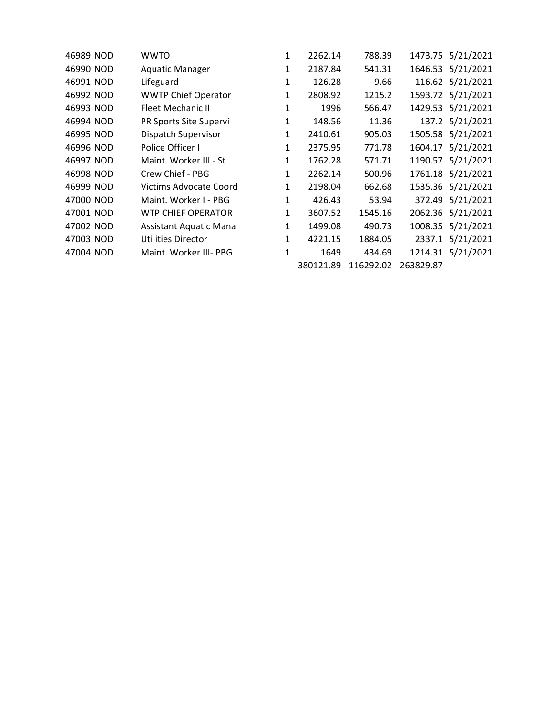| 46989 NOD | WWTO                          | 1            | 2262.14   | 788.39    |           | 1473.75 5/21/2021 |
|-----------|-------------------------------|--------------|-----------|-----------|-----------|-------------------|
| 46990 NOD | <b>Aquatic Manager</b>        | 1            | 2187.84   | 541.31    |           | 1646.53 5/21/2021 |
| 46991 NOD | Lifeguard                     | 1            | 126.28    | 9.66      |           | 116.62 5/21/2021  |
| 46992 NOD | <b>WWTP Chief Operator</b>    | 1            | 2808.92   | 1215.2    |           | 1593.72 5/21/2021 |
| 46993 NOD | Fleet Mechanic II             | 1            | 1996      | 566.47    |           | 1429.53 5/21/2021 |
| 46994 NOD | PR Sports Site Supervi        | 1            | 148.56    | 11.36     |           | 137.2 5/21/2021   |
| 46995 NOD | Dispatch Supervisor           | 1            | 2410.61   | 905.03    |           | 1505.58 5/21/2021 |
| 46996 NOD | Police Officer I              | 1            | 2375.95   | 771.78    |           | 1604.17 5/21/2021 |
| 46997 NOD | Maint. Worker III - St        | $\mathbf{1}$ | 1762.28   | 571.71    |           | 1190.57 5/21/2021 |
| 46998 NOD | Crew Chief - PBG              | 1            | 2262.14   | 500.96    |           | 1761.18 5/21/2021 |
| 46999 NOD | <b>Victims Advocate Coord</b> | $\mathbf{1}$ | 2198.04   | 662.68    |           | 1535.36 5/21/2021 |
| 47000 NOD | Maint. Worker I - PBG         | $\mathbf{1}$ | 426.43    | 53.94     | 372.49    | 5/21/2021         |
| 47001 NOD | <b>WTP CHIEF OPERATOR</b>     | $\mathbf{1}$ | 3607.52   | 1545.16   |           | 2062.36 5/21/2021 |
| 47002 NOD | <b>Assistant Aquatic Mana</b> | $\mathbf{1}$ | 1499.08   | 490.73    |           | 1008.35 5/21/2021 |
| 47003 NOD | Utilities Director            | 1            | 4221.15   | 1884.05   | 2337.1    | 5/21/2021         |
| 47004 NOD | Maint. Worker III- PBG        | 1            | 1649      | 434.69    |           | 1214.31 5/21/2021 |
|           |                               |              | 380121.89 | 116292.02 | 263829.87 |                   |